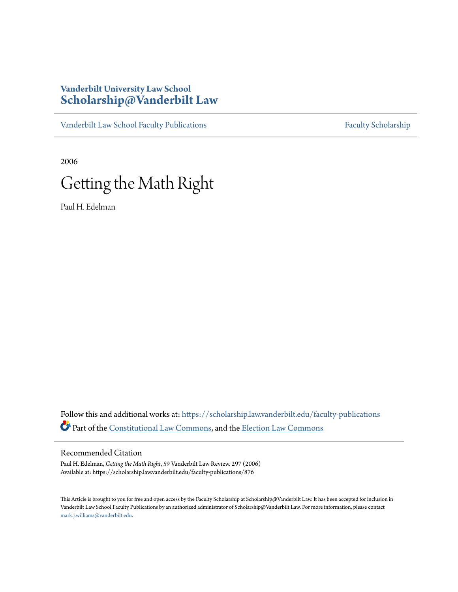## **Vanderbilt University Law School [Scholarship@Vanderbilt Law](https://scholarship.law.vanderbilt.edu?utm_source=scholarship.law.vanderbilt.edu%2Ffaculty-publications%2F876&utm_medium=PDF&utm_campaign=PDFCoverPages)**

[Vanderbilt Law School Faculty Publications](https://scholarship.law.vanderbilt.edu/faculty-publications?utm_source=scholarship.law.vanderbilt.edu%2Ffaculty-publications%2F876&utm_medium=PDF&utm_campaign=PDFCoverPages) [Faculty Scholarship](https://scholarship.law.vanderbilt.edu/faculty-scholarship?utm_source=scholarship.law.vanderbilt.edu%2Ffaculty-publications%2F876&utm_medium=PDF&utm_campaign=PDFCoverPages)

2006

# Getting the Math Right

Paul H. Edelman

Follow this and additional works at: [https://scholarship.law.vanderbilt.edu/faculty-publications](https://scholarship.law.vanderbilt.edu/faculty-publications?utm_source=scholarship.law.vanderbilt.edu%2Ffaculty-publications%2F876&utm_medium=PDF&utm_campaign=PDFCoverPages) Part of the [Constitutional Law Commons,](http://network.bepress.com/hgg/discipline/589?utm_source=scholarship.law.vanderbilt.edu%2Ffaculty-publications%2F876&utm_medium=PDF&utm_campaign=PDFCoverPages) and the [Election Law Commons](http://network.bepress.com/hgg/discipline/1121?utm_source=scholarship.law.vanderbilt.edu%2Ffaculty-publications%2F876&utm_medium=PDF&utm_campaign=PDFCoverPages)

#### Recommended Citation

Paul H. Edelman, *Getting the Math Right*, 59 Vanderbilt Law Review. 297 (2006) Available at: https://scholarship.law.vanderbilt.edu/faculty-publications/876

This Article is brought to you for free and open access by the Faculty Scholarship at Scholarship@Vanderbilt Law. It has been accepted for inclusion in Vanderbilt Law School Faculty Publications by an authorized administrator of Scholarship@Vanderbilt Law. For more information, please contact [mark.j.williams@vanderbilt.edu](mailto:mark.j.williams@vanderbilt.edu).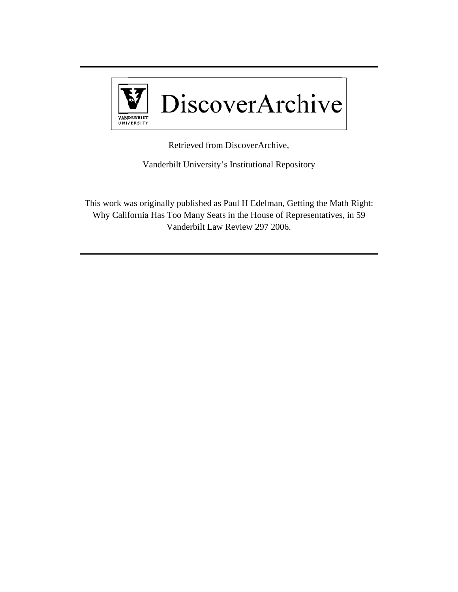

Retrieved from DiscoverArchive,

Vanderbilt University's Institutional Repository

This work was originally published as Paul H Edelman, Getting the Math Right: Why California Has Too Many Seats in the House of Representatives, in 59 V Vanderbilt La aw Review 2 297 2006.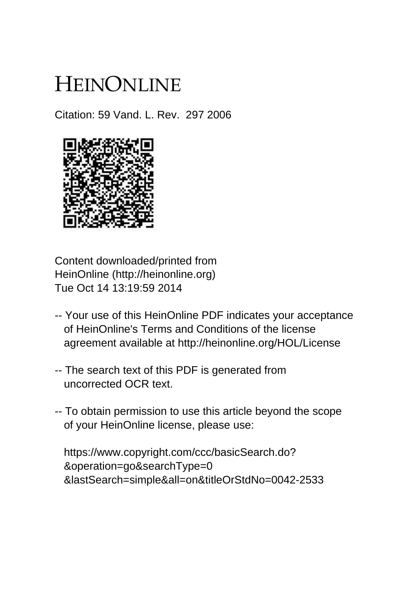# HEINONLINE

Citation: 59 Vand. L. Rev. 297 2006



Content downloaded/printed from HeinOnline (http://heinonline.org) Tue Oct 14 13:19:59 2014

- -- Your use of this HeinOnline PDF indicates your acceptance of HeinOnline's Terms and Conditions of the license agreement available at http://heinonline.org/HOL/License
- -- The search text of this PDF is generated from uncorrected OCR text.
- -- To obtain permission to use this article beyond the scope of your HeinOnline license, please use:

 https://www.copyright.com/ccc/basicSearch.do? &operation=go&searchType=0 &lastSearch=simple&all=on&titleOrStdNo=0042-2533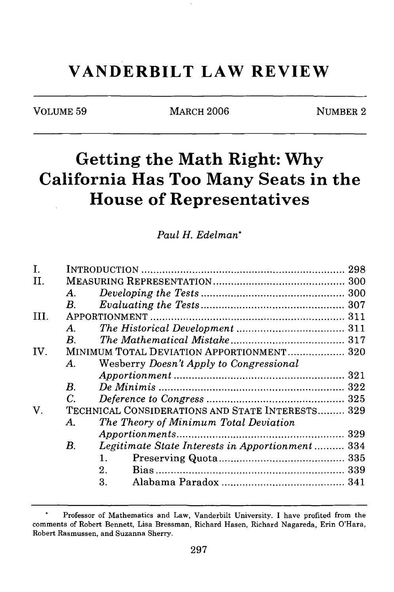## **VANDERBILT LAW REVIEW**

VOLUME 59 MARCH 2006 NUMBER 2

# **Getting the Math Right: Why California Has Too Many Seats in the House of Representatives**

*Paul H. Edelman\**

| Ī.   |                    |                                                  |  |
|------|--------------------|--------------------------------------------------|--|
| II.  |                    |                                                  |  |
|      | $\bm{A}$           |                                                  |  |
|      | $\boldsymbol{B}$ . |                                                  |  |
| III. |                    |                                                  |  |
|      | $\bm{A}$ .         |                                                  |  |
|      | $B_{\cdot}$        |                                                  |  |
| IV.  |                    | MINIMUM TOTAL DEVIATION APPORTIONMENT 320        |  |
|      | A.                 | Wesberry Doesn't Apply to Congressional          |  |
|      |                    |                                                  |  |
|      | $\boldsymbol{B}$ . |                                                  |  |
|      | C.                 |                                                  |  |
| V.   |                    | TECHNICAL CONSIDERATIONS AND STATE INTERESTS 329 |  |
|      | A.                 | The Theory of Minimum Total Deviation            |  |
|      |                    |                                                  |  |
|      | В.                 | Legitimate State Interests in Apportionment 334  |  |
|      |                    | $1_{-}$                                          |  |
|      |                    | $2_{-}$                                          |  |
|      |                    | 3.                                               |  |
|      |                    |                                                  |  |

Professor of Mathematics and Law, Vanderbilt University. I have profited from the comments of Robert Bennett, Lisa Bressman, Richard Hasen, Richard Nagareda, Erin O'Hara, Robert Rasmussen, and Suzanna Sherry.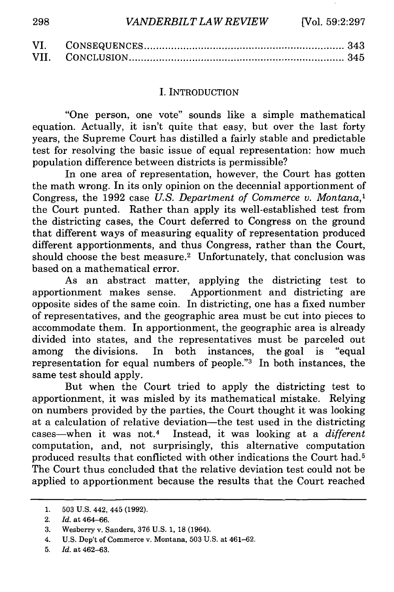| VI. |  |
|-----|--|
|     |  |

#### I. INTRODUCTION

"One person, one vote" sounds like a simple mathematical equation. Actually, it isn't quite that easy, but over the last forty years, the Supreme Court has distilled a fairly stable and predictable test for resolving the basic issue of equal representation: how much population difference between districts is permissible?

In one area of representation, however, the Court has gotten the math wrong. In its only opinion on the decennial apportionment of Congress, the 1992 case *U.S. Department of Commerce v. Montana,1* the Court punted. Rather than apply its well-established test from the districting cases, the Court deferred to Congress on the ground that different ways of measuring equality of representation produced different apportionments, and thus Congress, rather than the Court, should choose the best measure.<sup>2</sup> Unfortunately, that conclusion was based on a mathematical error.

As an abstract matter, applying the districting test to apportionment makes sense. Apportionment and districting are opposite sides of the same coin. In districting, one has a fixed number of representatives, and the geographic area must be cut into pieces to accommodate them. In apportionment, the geographic area is already divided into states, and the representatives must be parceled out among the divisions. In both instances, the goal is "equal representation for equal numbers of people."3 In both instances, the same test should apply.

But when the Court tried to apply the districting test to apportionment, it was misled by its mathematical mistake. Relying on numbers provided by the parties, the Court thought it was looking at a calculation of relative deviation-the test used in the districting cases-when it was not.4 Instead, it was looking at a *different* computation, and, not surprisingly, this alternative computation produced results that conflicted with other indications the Court had.5 The Court thus concluded that the relative deviation test could not be applied to apportionment because the results that the Court reached

<sup>1. 503</sup> U.S. 442, 445 (1992).

<sup>2.</sup> *Id.* at 464-66.

<sup>3.</sup> Wesberry v. Sanders, 376 U.S. 1, 18 (1964).

<sup>4.</sup> U.S. Dep't of Commerce v. Montana, 503 U.S. at 461-62.

<sup>5.</sup> *Id.* at 462-63.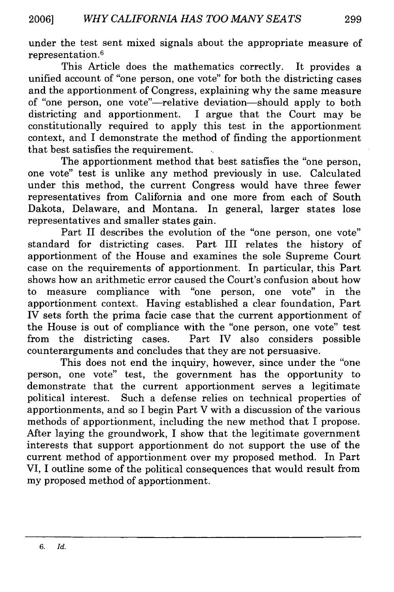under the test sent mixed signals about the appropriate measure of representation. <sup>6</sup>

This Article does the mathematics correctly. It provides a unified account of "one person, one vote" for both the districting cases and the apportionment of Congress, explaining why the same measure of "one person, one vote"-relative deviation-should apply to both districting and apportionment. I argue that the Court may be constitutionally required to apply this test in the apportionment context, and I demonstrate the method of finding the apportionment that best satisfies the requirement.

The apportionment method that best satisfies the "one person, one vote" test is unlike any method previously in use. Calculated under this method, the current Congress would have three fewer representatives from California and one more from each of South Dakota, Delaware, and Montana. In general, larger states lose representatives and smaller states gain.

Part II describes the evolution of the "one person, one vote" standard for districting cases. Part III relates the history of apportionment of the House and examines the sole Supreme Court case on the requirements of apportionment. In particular, this Part shows how an arithmetic error caused the Court's confusion about how to measure compliance with "one person, one vote" in the apportionment context. Having established a clear foundation, Part IV sets forth the prima facie case that the current apportionment of the House is out of compliance with the "one person, one vote" test from the districting cases. Part *IV* also considers possible counterarguments and concludes that they are not persuasive.

This does not end the inquiry, however, since under the "one person, one vote" test, the government has the opportunity to demonstrate that the current apportionment serves a legitimate political interest. Such a defense relies on technical properties of apportionments, and so I begin Part V with a discussion of the various methods of apportionment, including the new method that I propose. After laying the groundwork, I show that the legitimate government interests that support apportionment do not support the use of the current method of apportionment over my proposed method. In Part VI, I outline some of the political consequences that would result from my proposed method of apportionment.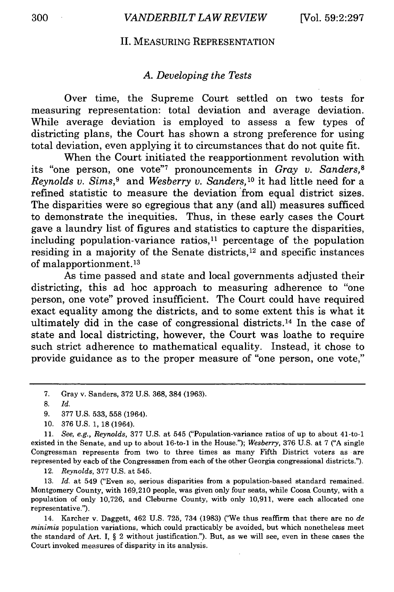#### II. MEASURING REPRESENTATION

#### *A. Developing the Tests*

Over time, the Supreme Court settled on two tests for measuring representation: total deviation and average deviation. While average deviation is employed to assess a few types of districting plans, the Court has shown a strong preference for using total deviation, even applying it to circumstances that do not quite fit.

When the Court initiated the reapportionment revolution with its "one person, one vote"7 pronouncements in *Gray v. Sanders,8 Reynolds v. Sims,9* and *Wesberry v. Sanders,10* it had little need for a refined statistic to measure the deviation from equal district sizes. The disparities were so egregious that any (and all) measures sufficed to demonstrate the inequities. Thus, in these early cases the Court gave a laundry list of figures and statistics to capture the disparities, including population-variance ratios, $11$  percentage of the population residing in a majority of the Senate districts, 12 and specific instances of malapportionment. <sup>13</sup>

As time passed and state and local governments adjusted their districting, this ad hoc approach to measuring adherence to "one person, one vote" proved insufficient. The Court could have required exact equality among the districts, and to some extent this is what it ultimately did in the case of congressional districts.14 In the case of state and local districting, however, the Court was loathe to require such strict adherence to mathematical equality. Instead, it chose to provide guidance as to the proper measure of "one person, one vote,"

11. *See, e.g., Reynolds,* 377 U.S. at 545 ("Population-variance ratios of up to about 41-to-1 existed in the Senate, and up to about 16-to-1 in the House."); *Wesberry,* 376 U.S. at 7 ("A single Congressman represents from two to three times as many Fifth District voters as are represented by each of the Congressmen from each of the other Georgia congressional districts.").

12. *Reynolds,* 377 U.S. at 545.

13. *Id.* at 549 ("Even so, serious disparities from a population-based standard remained. Montgomery County, with 169,210 people, was given only four seats, while Coosa County, with a population of only 10,726, and Cleburne County, with only 10,911, were each allocated one representative.").

14. Karcher v. Daggett, 462 U.S. 725, 734 (1983) ('We thus reaffirm that there are no *de minimis* population variations, which could practicably be avoided, but which nonetheless meet the standard of Art. I, § 2 without justification."). But, as we will see, even in these cases the Court invoked measures of disparity in its analysis.

<sup>7.</sup> Gray v. Sanders, 372 U.S. 368, 384 (1963).

<sup>8.</sup> Id.

<sup>9. 377</sup> U.S. 533, 558 (1964).

<sup>10. 376</sup> U.S. 1, 18 (1964).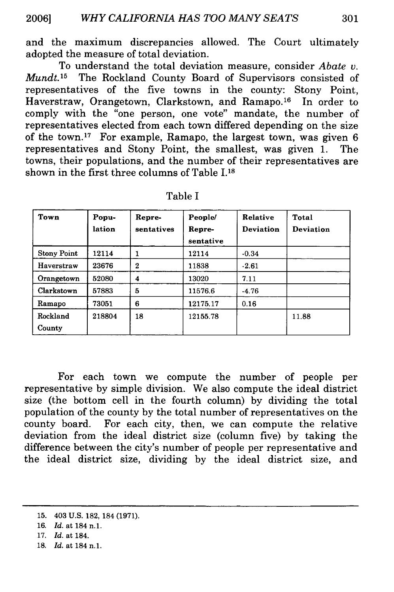and the maximum discrepancies allowed. The Court ultimately adopted the measure of total deviation.

To understand the total deviation measure, consider *Abate v. Mundt.15* The Rockland County Board of Supervisors consisted of representatives of the five towns in the county: Stony Point, Haverstraw, Orangetown, Clarkstown, and Ramapo.<sup>16</sup> In order to comply with the "one person, one vote" mandate, the number of representatives elected from each town differed depending on the size of the town.<sup>17</sup> For example, Ramapo, the largest town, was given 6 representatives and Stony Point, the smallest, was given 1. The towns, their populations, and the number of their representatives are shown in the first three columns of Table **1.18**

| Town               | Popu-<br>lation | Repre-<br>sentatives | People/<br>Repre-<br>sentative | Relative<br><b>Deviation</b> | Total<br>Deviation |
|--------------------|-----------------|----------------------|--------------------------------|------------------------------|--------------------|
| <b>Stony Point</b> | 12114           | 1                    | 12114                          | $-0.34$                      |                    |
| Haverstraw         | 23676           | 2                    | 11838                          | $-2.61$                      |                    |
| Orangetown         | 52080           | 4                    | 13020                          | 7.11                         |                    |
| Clarkstown         | 57883           | 5                    | 11576.6                        | $-4.76$                      |                    |
| Ramapo             | 73051           | 6                    | 12175.17                       | 0.16                         |                    |
| Rockland<br>County | 218804          | 18                   | 12155.78                       |                              | 11.88              |

Table I

For each town we compute the number of people per representative by simple division. We also compute the ideal district size (the bottom cell in the fourth column) by dividing the total population of the county by the total number of representatives on the county board. For each city, then, we can compute the relative deviation from the ideal district size (column five) by taking the difference between the city's number of people per representative and the ideal district size, dividing by the ideal district size, and

**<sup>15.</sup>** 403 **U.S. 182, 184 (1971).**

**<sup>16.</sup>** *Id.* at 184 **n.1.**

<sup>17.</sup> *Id.* at 184.

**<sup>18.</sup>** *Id.* at 184 **n.1.**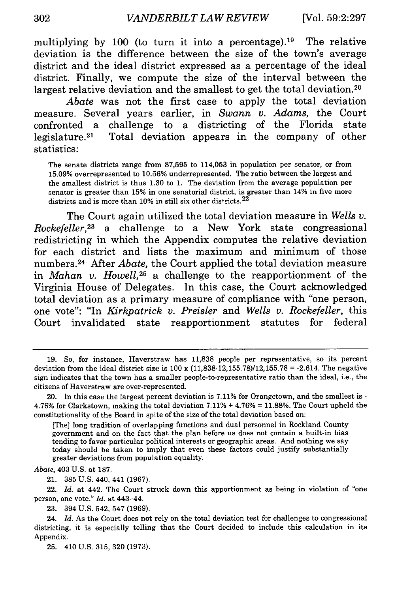multiplying by 100 (to turn it into a percentage).<sup>19</sup> The relative deviation is the difference between the size of the town's average district and the ideal district expressed as a percentage of the ideal district. Finally, we compute the size of the interval between the largest relative deviation and the smallest to get the total deviation.<sup>20</sup>

*Abate* was not the first case to apply the total deviation measure. Several years earlier, in *Swann v. Adams,* the Court confronted a challenge to a districting of the Florida state legislature.<sup>21</sup> Total deviation appears in the company of other statistics:

The senate districts range from 87,595 to 114,053 in population per senator, or from 15.09% overrepresented to 10.56% underrepresented. The ratio between the largest and the smallest district is thus 1.30 to 1. The deviation from the average population per senator is greater than 15% in one senatorial district, is greater than 14% in five more districts and is more than 10% in still six other districts.  $22$ 

The Court again utilized the total deviation measure in *Wells v. Rockefeller,23* a challenge to a New York state congressional redistricting in which the Appendix computes the relative deviation for each district and lists the maximum and minimum of those numbers. 24 After *Abate,* the Court applied the total deviation measure in *Mahan v. Howell,25* a challenge to the reapportionment of the Virginia House of Delegates. In this case, the Court acknowledged total deviation as a primary measure of compliance with "one person, one vote": "In *Kirkpatrick v. Preisler* and *Wells v. Rockefeller,* this Court invalidated state reapportionment statutes for federal

[The] long tradition of overlapping functions and dual personnel in Rockland County government and on the fact that the plan before us does not contain a built-in bias tending to favor particular political interests or geographic areas. And nothing we say today should be taken to imply that even these factors could justify substantially greater deviations from population equality.

*Abate,* 403 U.S. at 187.

21. 385 U.S. 440, 441 (1967).

22. *Id.* at 442. The Court struck down this apportionment as being in violation of "one person, one vote." *Id.* at 443-44.

23. 394 U.S. 542, 547 (1969).

25. 410 U.S. 315, 320 (1973).

<sup>19.</sup> So, for instance, Haverstraw has 11,838 people per representative, so its percent deviation from the ideal district size is 100 x (11,838-12,155.78)/12,155.78 **=** -2.614. The negative sign indicates that the town has a smaller people-to-representative ratio than the ideal, i.e., the citizens of Haverstraw are over-represented.

<sup>20.</sup> In this case the largest percent deviation is 7.11% for Orangetown, and the smallest is - 4.76% for Clarkstown, making the total deviation 7.11% + 4.76% = 11.88%. The Court upheld the constitutionality of the Board in spite of the size of the total deviation based on:

<sup>24.</sup> *Id.* As the Court does not rely on the total deviation test for challenges to congressional districting, it is especially telling that the Court decided to include this calculation in its Appendix.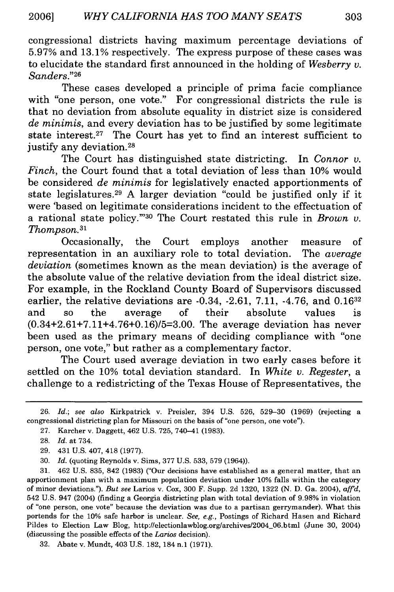congressional districts having maximum percentage deviations of 5.97% and 13.1% respectively. The express purpose of these cases was to elucidate the standard first announced in the holding of *Wesberry v. Sanders."26*

These cases developed a principle of prima facie compliance with "one person, one vote." For congressional districts the rule is that no deviation from absolute equality in district size is considered *de minimis,* and every deviation has to be justified by some legitimate state interest.<sup>27</sup> The Court has yet to find an interest sufficient to justify any deviation.<sup>28</sup>

The Court has distinguished state districting. In *Connor v. Finch,* the Court found that a total deviation of less than 10% would be considered *de minimis* for legislatively enacted apportionments of state legislatures. 29 A larger deviation "could be justified only if it were 'based on legitimate considerations incident to the effectuation of a rational state policy."'30 The Court restated this rule in *Brown v. Thompson.31*

Occasionally, the Court employs another measure of representation in an auxiliary role to total deviation. The *average deviation* (sometimes known as the mean deviation) is the average of the absolute value of the relative deviation from the ideal district size. For example, in the Rockland County Board of Supervisors discussed earlier, the relative deviations are  $-0.34, -2.61, 7.11, -4.76,$  and  $0.16^{32}$ and so the average of their absolute values is (0.34+2.61+7.11+4.76+0.16)/5=3.00. The average deviation has never been used as the primary means of deciding compliance with "one person, one vote," but rather as a complementary factor.

The Court used average deviation in two early cases before it settled on the 10% total deviation standard. In *White v. Regester, a* challenge to a redistricting of the Texas House of Representatives, the

<sup>26.</sup> *Id.; see also* Kirkpatrick v. Preisler, 394 U.S. 526, 529-30 (1969) (rejecting a congressional districting plan for Missouri on the basis of "one person, one vote").

<sup>27.</sup> Karcher v. Daggett, 462 U.S. 725, 740-41 (1983).

<sup>28.</sup> *Id.* at 734.

<sup>29.</sup> 431 U.S. 407, 418 (1977).

<sup>30.</sup> *Id.* (quoting Reynolds v. Sims, 377 U.S. 533, 579 (1964)).

<sup>31. 462</sup> U.S. 835, 842 (1983) ("Our decisions have established as a general matter, that an apportionment plan with a maximum population deviation under 10% falls within the category of minor deviations."). *But see* Larios v. Cox, 300 F. Supp. 2d 1320, 1322 (N. D. Ga. 2004), *affd,* 542 U.S. 947 (2004) (finding a Georgia districting plan with total deviation of 9.98% in violation of "one person, one vote" because the deviation was due to a partisan gerrymander). What this portends for the 10% safe harbor is unclear. *See, e.g.,* Postings of Richard Hasen and Richard Pildes to Election Law Blog, http://electionlawblog.org/archives/2004\_06.html (June 30, 2004) (discussing the possible effects of the *Larios* decision).

<sup>32.</sup> Abate v. Mundt, 403 U.S. 182, 184 n.1 (1971).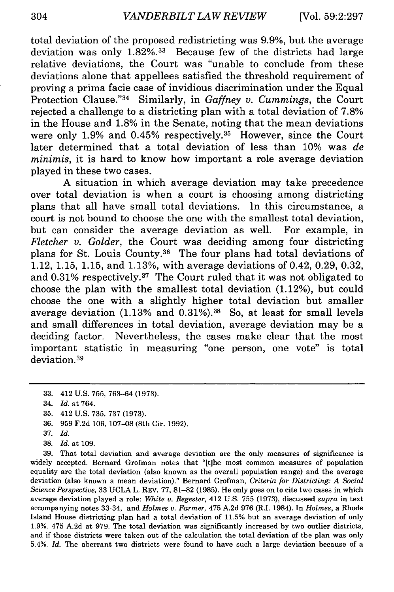total deviation of the proposed redistricting was 9.9%, but the average deviation was only 1.82%.<sup>33</sup> Because few of the districts had large relative deviations, the Court was "unable to conclude from these deviations alone that appellees satisfied the threshold requirement of proving a prima facie case of invidious discrimination under the Equal Protection Clause."<sup>34</sup> Similarly, in *Gaffney v. Cummings*, the Court rejected a challenge to a districting plan with a total deviation of 7.8% in the House and 1.8% in the Senate, noting that the mean deviations were only 1.9% and 0.45% respectively.<sup>35</sup> However, since the Court later determined that a total deviation of less than 10% was *de minimis,* it is hard to know how important a role average deviation played in these two cases.

A situation in which average deviation may take precedence over total deviation is when a court is choosing among districting plans that all have small total deviations. In this circumstance, a court is not bound to choose the one with the smallest total deviation, but can consider the average deviation as well. For example, in *Fletcher v. Golder,* the Court was deciding among four districting plans for St. Louis County.36 The four plans had total deviations of 1.12, 1.15, 1.15, and 1.13%, with average deviations of 0.42, 0.29, 0.32, and 0.31% respectively.37 The Court ruled that it was not obligated to choose the plan with the smallest total deviation (1.12%), but could choose the one with a slightly higher total deviation but smaller average deviation  $(1.13\% \text{ and } 0.31\%)$ .<sup>38</sup> So, at least for small levels and small differences in total deviation, average deviation may be a deciding factor. Nevertheless, the cases make clear that the most important statistic in measuring "one person, one vote" is total deviation. <sup>39</sup>

37. *Id.*

39. That total deviation and average deviation are the only measures of significance is widely accepted. Bernard Grofman notes that "[t]he most common measures of population equality are the total deviation (also known as the overall population range) and the average deviation (also known a mean deviation)." Bernard Grofman, *Criteria for Districting: A Social Science Perspective,* 33 UCLA L. REV. 77, 81-82 (1985). He only goes on to cite two cases in which average deviation played a role: *White v. Regester,* 412 U.S. 755 (1973), discussed *supra* in text accompanying notes 33-34, and *Holmes v. Farmer,* 475 A.2d 976 (R.I. 1984). In *Holmes,* a Rhode Island House districting plan had a total deviation of 11.5% but an average deviation of only 1.9%. 475 A.2d at 979. The total deviation was significantly increased by two outlier districts, and if those districts were taken out of the calculation the total deviation of the plan was only 5.4%. *Id.* The aberrant two districts were found to have such a large deviation because of a

<sup>33. 412</sup> U.S. 755, 763-64 (1973).

<sup>34.</sup> *Id.* at 764.

<sup>35. 412</sup> U.S. 735, 737 (1973).

<sup>36. 959</sup> F.2d 106, 107-08 (8th Cir. 1992).

<sup>38.</sup> *Id.* at 109.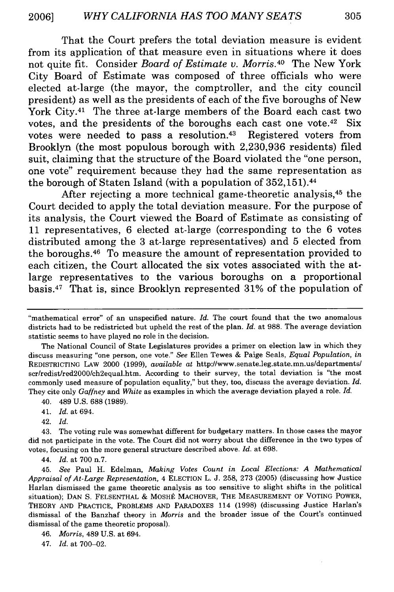That the Court prefers the total deviation measure is evident from its application of that measure even in situations where it does not quite fit. Consider *Board of Estimate v. Morris.40* The New York City Board of Estimate was composed of three officials who were elected at-large (the mayor, the comptroller, and the city council president) as well as the presidents of each of the five boroughs of New York City.<sup>41</sup> The three at-large members of the Board each cast two votes, and the presidents of the boroughs each cast one vote. $42$  Six votes were needed to pass a resolution.43 Registered voters from Brooklyn (the most populous borough with **2,230,936** residents) filed suit, claiming that the structure of the Board violated the "one person, one vote" requirement because they had the same representation as the borough of Staten Island (with a population of 352,151). <sup>44</sup>

After rejecting a more technical game-theoretic analysis, 45 the Court decided to apply the total deviation measure. For the purpose of its analysis, the Court viewed the Board of Estimate as consisting of **11** representatives, **6** elected at-large (corresponding to the **6** votes distributed among the **3** at-large representatives) and **5** elected from the boroughs. 46 To measure the amount of representation provided to each citizen, the Court allocated the six votes associated with the atlarge representatives to the various boroughs on a proportional basis.47 That is, since Brooklyn represented **31%** of the population of

42. *Id.*

43. The voting rule was somewhat different for budgetary matters. In those cases the mayor did not participate in the vote. The Court did not worry about the difference in the two types of votes, focusing on the more general structure described above. *Id.* at 698.

44. *Id.* at 700 n.7.

45. *See* Paul H. Edelman, *Making Votes Count in Local Elections: A Mathematical Appraisal of At-Large Representation,* 4 ELECTION L. J. 258, 273 (2005) (discussing how Justice Harlan dismissed the game theoretic analysis as too sensitive to slight shifts in the political situation); DAN S. FELSENTHAL & MOSHE MACHOVER, THE MEASUREMENT OF VOTING POWER, THEORY **AND** PRACTICE, PROBLEMS **AND** PARADOXES 114 (1998) (discussing Justice Harlan's dismissal of the Banzhaf theory in *Morris* and the broader issue of the Court's continued dismissal of the game theoretic proposal).

46. *Morris,* 489 U.S. at 694.

47. *Id.* at 700-02.

<sup>&</sup>quot;mathematical error" of an unspecified nature. *Id.* The court found that the two anomalous districts had to be redistricted but upheld the rest of the plan. *Id.* at 988. The average deviation statistic seems to have played no role in the decision.

The National Council of State Legislatures provides a primer on election law in which they discuss measuring "one person, one vote." *See* Ellen Tewes & Paige Seals, *Equal Population, in* REDISTRICTING LAW 2000 (1999), *available at* http://www.senate.leg.state.mn.us/departments/ scr/redist/red2000/ch2equal.htm. According to their survey, the total deviation is "the most commonly used measure of population equality," but they, too, discuss the average deviation. *Id.* They cite only *Gaffney* and *White* as examples in which the average deviation played a role. *Id.*

<sup>40. 489</sup> U.S. 688 (1989).

<sup>41.</sup> *Id.* at 694.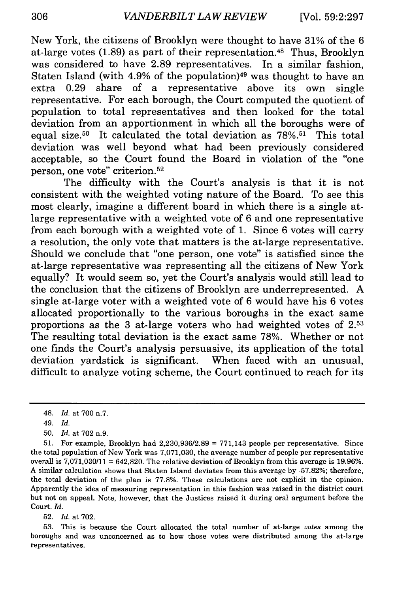New York, the citizens of Brooklyn were thought to have 31% of the 6 at-large votes (1.89) as part of their representation. 48 Thus, Brooklyn was considered to have 2.89 representatives. In a similar fashion, Staten Island (with 4.9% of the population)<sup>49</sup> was thought to have an extra 0.29 share of a representative above its own single representative. For each borough, the Court computed the quotient of population to total representatives and then looked for the total deviation from an apportionment in which all the boroughs were of equal size.<sup>50</sup> It calculated the total deviation as  $78\%$ <sup>51</sup> This total deviation was well beyond what had been previously considered acceptable, so the Court found the Board in violation of the "one person, one vote" criterion. <sup>52</sup>

The difficulty with the Court's analysis is that it is not consistent with the weighted voting nature of the Board. To see this most clearly, imagine a different board in which there is a single atlarge representative with a weighted vote of 6 and one representative from each borough with a weighted vote of 1. Since 6 votes will carry a resolution, the only vote that matters is the at-large representative. Should we conclude that "one person, one vote" is satisfied since the at-large representative was representing all the citizens of New York equally? It would seem so, yet the Court's analysis would still lead to the conclusion that the citizens of Brooklyn are underrepresented. A single at-large voter with a weighted vote of 6 would have his 6 votes allocated proportionally to the various boroughs in the exact same proportions as the 3 at-large voters who had weighted votes of **2. 53** The resulting total deviation is the exact same 78%. Whether or not one finds the Court's analysis persuasive, its application of the total deviation yardstick is significant. When faced with an unusual, difficult to analyze voting scheme, the Court continued to reach for its

52. *Id.* at 702.

53. This is because the Court allocated the total number of at-large *votes* among the boroughs and was unconcerned as to how those votes were distributed among the at-large representatives.

<sup>48.</sup> *Id.* at 700 n.7.

<sup>49.</sup> *Id.*

<sup>50.</sup> *Id.* at 702 n.9.

<sup>51.</sup> For example, Brooklyn had  $2,230,936/2.89 = 771,143$  people per representative. Since the total population of New York was 7,071,030, the average number of people per representative overall is  $7,071,030/11 = 642,820$ . The relative deviation of Brooklyn from this average is 19.96%. A similar calculation shows that Staten Island deviates from this average by -57.82%; therefore, the total deviation of the plan is 77.8%. These calculations are not explicit in the opinion. Apparently the idea of measuring representation in this fashion was raised in the district court but not on appeal. Note, however, that the Justices raised it during oral argument before the Court. *Id.*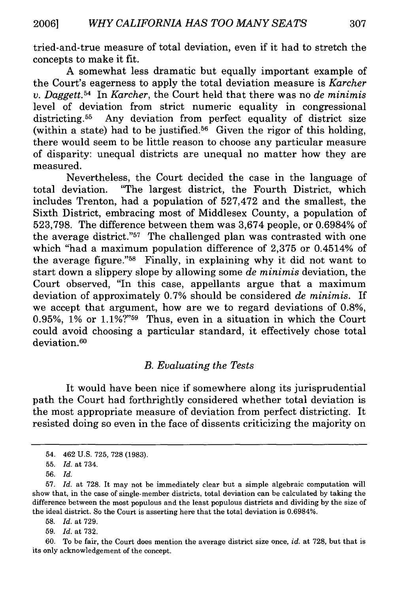tried-and-true measure of total deviation, even if it had to stretch the concepts to make it fit.

A somewhat less dramatic but equally important example of the Court's eagerness to apply the total deviation measure is *Karcher v. Daggett.54* In *Karcher,* the Court held that there was no *de minimis* level of deviation from strict numeric equality in congressional districting.<sup>55</sup> Any deviation from perfect equality of district size (within a state) had to be justified.<sup>56</sup> Given the rigor of this holding, there would seem to be little reason to choose any particular measure of disparity: unequal districts are unequal no matter how they are measured.

Nevertheless, the Court decided the case in the language of total deviation. "The largest district, the Fourth District, which includes Trenton, had a population of 527,472 and the smallest, the Sixth District, embracing most of Middlesex County, a population of 523,798. The difference between them was 3,674 people, or 0.6984% of the average district."57 The challenged plan was contrasted with one which "had a maximum population difference of 2,375 or 0.4514% of the average figure."58 Finally, in explaining why it did not want to start down a slippery slope by allowing some *de minimis* deviation, the Court observed, "In this case, appellants argue that a maximum deviation of approximately 0.7% should be considered *de minimis.* If we accept that argument, how are we to regard deviations of 0.8%, 0.95%,  $1\%$  or  $1.1\%$ ?"<sup>59</sup> Thus, even in a situation in which the Court could avoid choosing a particular standard, it effectively chose total deviation. <sup>60</sup>

#### *B. Evaluating the Tests*

It would have been nice if somewhere along its jurisprudential path the Court had forthrightly considered whether total deviation is the most appropriate measure of deviation from perfect districting. It resisted doing so even in the face of dissents criticizing the majority on

<sup>54. 462</sup> U.S. 725, 728 (1983).

<sup>55.</sup> *Id.* at 734.

<sup>56.</sup> *Id.*

<sup>57.</sup> *Id.* at 728. It may not be immediately clear but a simple algebraic computation will show that, in the case of single-member districts, total deviation can be calculated by taking the difference between the most populous and the least populous districts and dividing by the size of the ideal district. So the Court is asserting here that the total deviation is 0.6984%.

<sup>58.</sup> *Id.* at 729.

<sup>59.</sup> *Id.* at 732.

<sup>60.</sup> To be fair, the Court does mention the average district size once, *id.* at 728, but that is its only acknowledgement of the concept.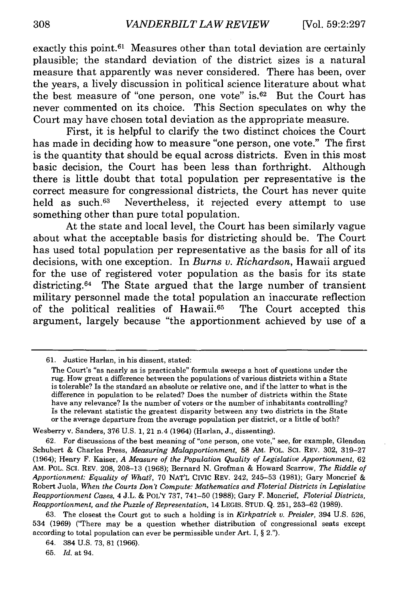exactly this **point.61** Measures other than total deviation are certainly plausible; the standard deviation of the district sizes is a natural measure that apparently was never considered. There has been, over the years, a lively discussion in political science literature about what the best measure of "one person, one vote" **is.62** But the Court has never commented on its choice. This Section speculates on why the Court may have chosen total deviation as the appropriate measure.

First, it is helpful to clarify the two distinct choices the Court has made in deciding how to measure "one person, one vote." The first is the quantity that should be equal across districts. Even in this most basic decision, the Court has been less than forthright. Although there is little doubt that total population per representative is the correct measure for congressional districts, the Court has never quite held as such.<sup>63</sup> Nevertheless, it rejected every attempt to use something other than pure total population.

At the state and local level, the Court has been similarly vague about what the acceptable basis for districting should be. The Court has used total population per representative as the basis for all of its decisions, with one exception. In *Burns v. Richardson,* Hawaii argued for the use of registered voter population as the basis for its state districting.<sup>64</sup> The State argued that the large number of transient military personnel made the total population an inaccurate reflection of the political realities of Hawaii. 65 The Court accepted this argument, largely because "the apportionment achieved **by** use of a

Wesberry v. Sanders, **376 U.S. 1,** 21 n.4 (1964) (Harlan, **J.,** dissenting).

**<sup>61.</sup>** Justice Harlan, in his dissent, stated:

The Court's "as nearly as is practicable" formula sweeps a host of questions under the rug. How great a difference between the populations of various districts within a State is tolerable? Is the standard an absolute or relative one, and if the latter to what is the difference in population to be related? Does the number of districts within the State have any relevance? Is the number of voters or the number of inhabitants controlling? Is the relevant statistic the greatest disparity between any two districts in the State or the average departure from the average population per district, or a little of both?

**<sup>62.</sup>** For discussions of the best meaning of "one person, one vote," see, for example, Glendon Schubert **&** Charles Press, *Measuring Malapportionment,* **58 AM. POL. Sci.** REV. **302, 319-27** (1964); Henry F. Kaiser, *A Measure of the Population Quality of Legislative Apportionment,* **62** AM. POL. **Sci.** REV. **208, 208-13 (1968);** Bernard **N.** Grofman **&** Howard Scarrow, *The Riddle of Apportionment: Equality of What?,* **70 NAT'L Cmc** REV. 242, **245-53 (1981);** Gary Moncrief **&** Robert Juola, *When the Courts Don't Compute: Mathematics and Floterial Districts in Legislative Reapportionment Cases,* 4 **J.L. &** POLY **737,** 741-50 **(1988);** Gary F. Moncrief, *Floterial Districts, Reapportionment, and the Puzzle of Representation,* 14 **LEGIS. STUD. Q. 251, 253-62 (1989).**

**<sup>63.</sup>** The closest the Court got to such a holding is in *Kirkpatrick v. Preisler,* 394 **U.S. 526,** 534 **(1969)** ('There may be a question whether distribution of congressional seats except according to total population can ever be permissible under Art. **I, §** 2.").

<sup>64. 384</sup> **U.S. 73, 81 (1966).**

**<sup>65.</sup>** *Id.* at 94.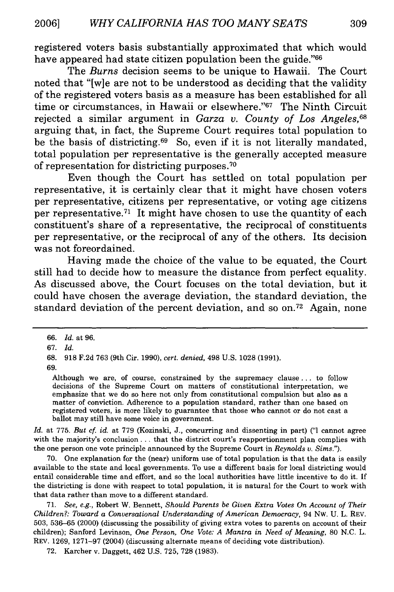registered voters basis substantially approximated that which would have appeared had state citizen population been the guide."<sup>66</sup>

The *Burns* decision seems to be unique to Hawaii. The Court noted that "[w]e are not to be understood as deciding that the validity of the registered voters basis as a measure has been established for all time or circumstances, in Hawaii or elsewhere."<sup>67</sup> The Ninth Circuit rejected a similar argument in *Garza v. County of Los Angeles, <sup>68</sup>* arguing that, in fact, the Supreme Court requires total population to be the basis of districting. 69 So, even if it is not literally mandated, total population per representative is the generally accepted measure of representation for districting purposes. <sup>70</sup>

Even though the Court has settled on total population per representative, it is certainly clear that it might have chosen voters per representative, citizens per representative, or voting age citizens per representative.<sup> $71$ </sup> It might have chosen to use the quantity of each constituent's share of a representative, the reciprocal of constituents per representative, or the reciprocal of any of the others. Its decision was not foreordained.

Having made the choice of the value to be equated, the Court still had to decide how to measure the distance from perfect equality. As discussed above, the Court focuses on the total deviation, but it could have chosen the average deviation, the standard deviation, the standard deviation of the percent deviation, and so on.<sup>72</sup> Again, none

69.

Although we are, of course, constrained by the supremacy clause.., to follow decisions of the Supreme Court on matters of constitutional interpretation, we emphasize that we do so here not only from constitutional compulsion but also as a matter of conviction. Adherence to a population standard, rather than one based on registered voters, is more likely to guarantee that those who cannot or do not cast a ballot may still have some voice in government.

*Id.* at 775. *But cf. id.* at 779 (Kozinski, J., concurring and dissenting in part) ("I cannot agree with the majority's conclusion **...** that the district court's reapportionment plan complies with the one person one vote principle announced by the Supreme Court in *Reynolds v. Sims.").*

70. One explanation for the (near) uniform use of total population is that the data is easily available to the state and local governments. To use a different basis for local districting would entail considerable time and effort, and so the local authorities have little incentive to do it. If the districting is done with respect to total population, it is natural for the Court to work with that data rather than move to a different standard.

71. *See, e.g.,* Robert W. Bennett, *Should Parents be Given Extra Votes On Account of Their Children?: Toward a Conversational Understanding of American Democracy,* 94 NW. U. L. REV. 503, 536-65 (2000) (discussing the possibility of giving extra votes to parents on account of their children); Sanford Levinson, *One Person, One Vote: A Mantra in Need of Meaning,* 80 N.C. L. REV. 1269, 1271-97 (2004) (discussing alternate means of deciding vote distribution).

72. Karcher v. Daggett, 462 U.S. 725, 728 (1983).

<sup>66.</sup> *Id.* at 96.

<sup>67.</sup> *Id.*

<sup>68. 918</sup> F.2d 763 (9th Cir. 1990), *cert. denied,* 498 U.S. 1028 (1991).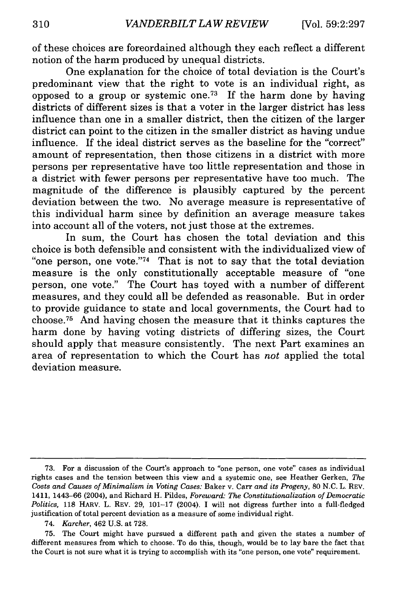of these choices are foreordained although they each reflect a different notion of the harm produced by unequal districts.

One explanation for the choice of total deviation is the Court's predominant view that the right to vote is an individual right, as opposed to a group or systemic one.<sup>73</sup> If the harm done by having districts of different sizes is that a voter in the larger district has less influence than one in a smaller district, then the citizen of the larger district can point to the citizen in the smaller district as having undue influence. If the ideal district serves as the baseline for the "correct" amount of representation, then those citizens in a district with more persons per representative have too little representation and those in a district with fewer persons per representative have too much. The magnitude of the difference is plausibly captured by the percent deviation between the two. No average measure is representative of this individual harm since by definition an average measure takes into account all of the voters, not just those at the extremes.

In sum, the Court has chosen the total deviation and this choice is both defensible and consistent with the individualized view of "one person, one vote."<sup>74</sup> That is not to say that the total deviation measure is the only constitutionally acceptable measure of "one person, one vote." The Court has toyed with a number of different measures, and they could all be defended as reasonable. But in order to provide guidance to state and local governments, the Court had to choose. 75 And having chosen the measure that it thinks captures the harm done by having voting districts of differing sizes, the Court should apply that measure consistently. The next Part examines an area of representation to which the Court has *not* applied the total deviation measure.

<sup>73.</sup> For a discussion of the Court's approach to "one person, one vote" cases as individual rights cases and the tension between this view and a systemic one, see Heather Gerken, *The Costs and Causes of Minimalism in Voting Cases:* Baker v. Carr *and its Progeny,* 80 N.C. L. REV. 1411, 1443-66 (2004), and Richard H. Pildes, *Foreward: The Constitutionalization of Democratic Politics,* 118 HARV. L. REV. 29, 101-17 (2004). I will not digress further into a full-fledged justification of total percent deviation as a measure of some individual right.

<sup>74.</sup> *Karcher,* 462 U.S. at 728.

<sup>75.</sup> The Court might have pursued a different path and given the states a number of different measures from which to choose. To do this, though, would be to lay bare the fact that the Court is not sure what it is trying to accomplish with its "one person, one vote" requirement.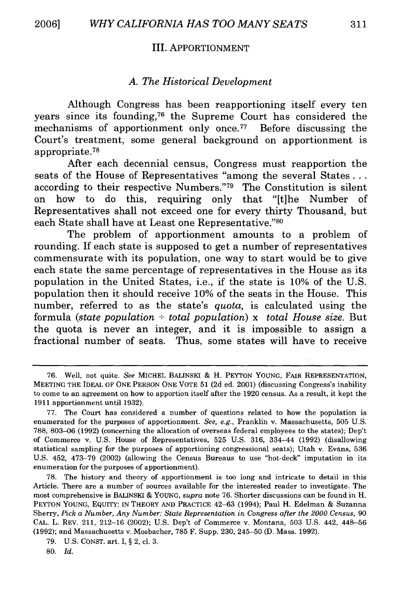#### III. APPORTIONMENT

#### *A. The Historical Development*

Although Congress has been reapportioning itself every ten years since its founding,76 the Supreme Court has considered the mechanisms of apportionment only once.<sup> $77$ </sup> Before discussing the Court's treatment, some general background on apportionment is appropriate. <sup>78</sup>

After each decennial census, Congress must reapportion the seats of the House of Representatives "among the several States... according to their respective Numbers."<sup>79</sup> The Constitution is silent on how to do this, requiring only that "[t]he Number of Representatives shall not exceed one for every thirty Thousand, but each State shall have at Least one Representative."80

The problem of apportionment amounts to a problem of rounding. If each state is supposed to get a number of representatives commensurate with its population, one way to start would be to give each state the same percentage of representatives in the House as its population in the United States, i.e., if the state is 10% of the U.S. population then it should receive 10% of the seats in the House. This number, referred to as the state's *quota,* is calculated using the formula *(state population - total population)* x *total House size.* But the quota is never an integer, and it is impossible to assign a fractional number of seats. Thus, some states will have to receive

78. The history and theory of apportionment is too long and intricate to detail in this Article. There are a number of sources available for the interested reader to investigate. The most comprehensive is BALINSKI & YOUNG, *supra* note 76. Shorter discussions can be found in H. PEYTON YOUNG, EQUITY: IN THEORY **AND** PRACTICE 42-63 (1994); Paul H. Edelman & Suzanna Sherry, Pick *a Number, Any Number: State Representation in Congress after the 2000 Census,* 90 CAL. L. REV. 211, 212-16 (2002); U.S. Dep't of Commerce v. Montana, 503 U.S. 442, 448-56 (1992); and Massachusetts v. Mosbacher, 785 F. Supp. 230, 245-50 (D. Mass. 1992).

<sup>76.</sup> Well, not quite. *See* MICHEL BALINSKI & H. PEYTON YOUNG, FAIR REPRESENTATION, MEETING THE IDEAL OF ONE PERSON ONE VOTE 51 (2d ed. 2001) (discussing Congress's inability to come to an agreement on how to apportion itself after the 1920 census. As a result, it kept the 1911 apportionment until 1932).

<sup>77.</sup> The Court has considered a number of questions related to how the population is enumerated for the purposes of apportionment. *See, e.g.,* Franklin v. Massachusetts, 505 U.S. 788, 803-06 (1992) (concerning the allocation of overseas federal employees to the states); Dep't of Commerce v. U.S. House of Representatives, 525 U.S. 316, 334-44 (1992) (disallowing statistical sampling for the purposes of apportioning congressional seats); Utah v. Evans, 536 U.S. 452, 473-79 (2002) (allowing the Census Bureaus to use "hot-deck" imputation in its enumeration for the purposes of apportionment).

<sup>79.</sup> U.S. CONST. art. I, § 2, cl. 3.

**<sup>80.</sup>** *Id.*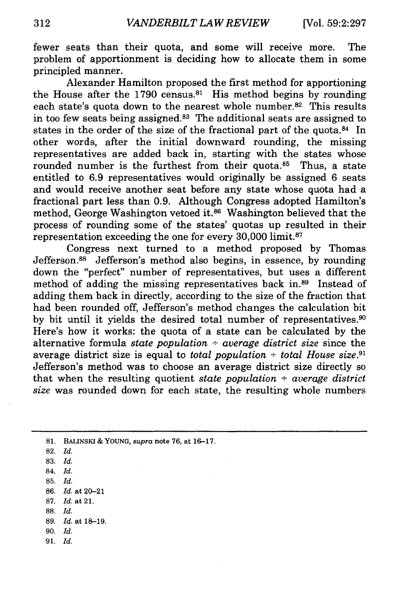fewer seats than their quota, and some will receive more. The problem of apportionment is deciding how to allocate them in some principled manner.

Alexander Hamilton proposed the first method for apportioning the House after the 1790 census.<sup>81</sup> His method begins by rounding each state's quota down to the nearest whole number.<sup>82</sup> This results in too few seats being assigned.<sup>83</sup> The additional seats are assigned to states in the order of the size of the fractional part of the quota.<sup>84</sup> In other words, after the initial downward rounding, the missing representatives are added back in, starting with the states whose rounded number is the furthest from their quota.<sup>85</sup> Thus, a state entitled to 6.9 representatives would originally be assigned 6 seats and would receive another seat before any state whose quota had a fractional part less than 0.9. Although Congress adopted Hamilton's method, George Washington vetoed it.86 Washington believed that the process of rounding some of the states' quotas up resulted in their representation exceeding the one for every  $30,000$  limit.<sup>87</sup>

Congress next turned to a method proposed by Thomas Jefferson.<sup>88</sup> Jefferson's method also begins, in essence, by rounding down the "perfect" number of representatives, but uses a different method of adding the missing representatives back in.<sup>89</sup> Instead of adding them back in directly, according to the size of the fraction that had been rounded off, Jefferson's method changes the calculation bit by bit until it yields the desired total number of representatives.<sup>90</sup> Here's how it works: the quota of a state can be calculated by the alternative formula *state population - average district size* since the average district size is equal to *total population*  $\div$  *total House size*.<sup>91</sup> Jefferson's method was to choose an average district size directly so that when the resulting quotient *state population - average district size* was rounded down for each state, the resulting whole numbers

- **83.** *Id.*
- 84. *Id.*
- **85.** *Id.*
- **86.** *Id.* at 20-21
- **87.** Id. at 21.
- **88.** *Id.*
- **89.** *Id.* at **18-19.**
- **90.** *Id.*
- **91.** *Id.*

**<sup>81.</sup> BALINSKI & YOUNG,** *supra* note **76,** at **16-17.**

**<sup>82.</sup>** *Id.*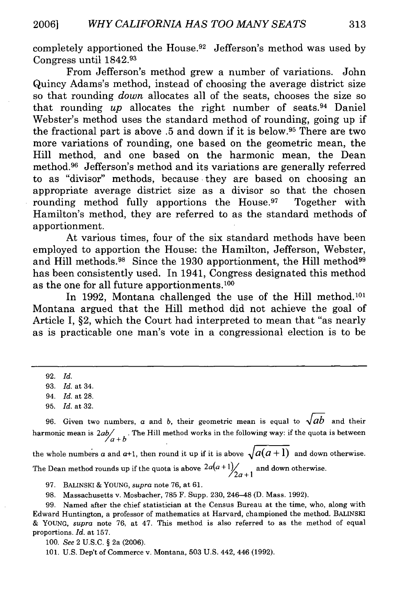completely apportioned the House.<sup>92</sup> Jefferson's method was used by Congress until 1842. <sup>93</sup>

From Jefferson's method grew a number of variations. John Quincy Adams's method, instead of choosing the average district size so that rounding *down* allocates all of the seats, chooses the size so that rounding *up* allocates the right number of seats.94 Daniel Webster's method uses the standard method of rounding, going up if the fractional part is above .5 and down if it is below. 95 There are two more variations of rounding, one based on the geometric mean, the Hill method, and one based on the harmonic mean, the Dean method. 96 Jefferson's method and its variations are generally referred to as "divisor" methods, because they are based on choosing an appropriate average district size as a divisor so that the chosen rounding method fully apportions the House.<sup>97</sup> Together with Hamilton's method, they are referred to as the standard methods of apportionment.

At various times, four of the six standard methods have been employed to apportion the House: the Hamilton, Jefferson, Webster, and Hill methods.<sup>98</sup> Since the 1930 apportionment, the Hill method<sup>99</sup> has been consistently used. In 1941, Congress designated this method as the one for all future apportionments. **1 00**

In 1992, Montana challenged the use of the Hill method.<sup>101</sup> Montana argued that the Hill method did not achieve the goal of Article I, §2, which the Court had interpreted to mean that "as nearly as is practicable one man's vote in a congressional election is to be

96. Given two numbers, a and *b*, their geometric mean is equal to  $\sqrt{ab}$  and their harmonic mean is  $2ab/$  <sup>*n*</sup> <sup>*n*</sup> <sup>*n*</sup> <sup>*n*</sup> <sup>*n*</sup> <sup>*n*</sup> <sup>*n*</sup> *i* <sup>*n*</sup> *n*<sup>*n*</sup> *n*<sup>*n*</sup> *<i>n*<sup>*n*</sup> *n*<sup>*n*</sup> *<i>n*<sup>*n*</sup> *n*<sup>*n*</sup> *n*<sup>*n*</sup> *n*<sup>*n*</sup> *n*<sup>*n*</sup> *n*<sup>*n*</sup> *n*<sup>*n*</sup> *n*<sup>*n*</sup> *n*<sup>*n*</sup> *n*<sup>*n*</sup> *n*<sup>*n*</sup> *n*<sup>*n*</sup>

the whole numbers a and  $a+1$ , then round it up if it is above  $\sqrt{a(a+1)}$  and down otherwise.

The Dean method rounds up if the quota is above  $2a(a+1)/2a+1$  and down otherwise.

97. BALINSKI & YOUNG, *supra* note 76, at 61.

98. Massachusetts v. Mosbacher, 785 F. Supp. 230, 246-48 (D. Mass. 1992).

99. Named after the chief statistician at the Census Bureau at the time, who, along with Edward Huntington, a professor of mathematics at Harvard, championed the method. BALINSKI & YOUNG, *supra* note 76, at 47. This method is also referred to as the method of equal proportions. *Id.* at 157.

100. *See* 2 U.S.C. § 2a (2006).

101. U.S. Dep't of Commerce v. Montana, 503 U.S. 442, 446 (1992).

<sup>92.</sup> *Id.*

<sup>93.</sup> *Id.* at 34.

<sup>94.</sup> *Id.* at 28.

<sup>95.</sup> *Id.* at 32.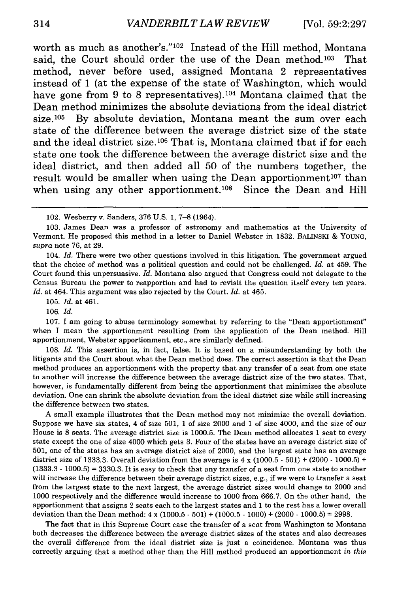worth as much as another's."<sup>102</sup> Instead of the Hill method, Montana said, the Court should order the use of the Dean method.<sup>103</sup> That method, never before used, assigned Montana 2 representatives instead of 1 (at the expense of the state of Washington, which would have gone from 9 to 8 representatives).<sup>104</sup> Montana claimed that the Dean method minimizes the absolute deviations from the ideal district size.105 By absolute deviation, Montana meant the sum over each state of the difference between the average district size of the state and the ideal district size.<sup>106</sup> That is, Montana claimed that if for each state one took the difference between the average district size and the ideal district, and then added all 50 of the numbers together, the result would be smaller when using the Dean apportionment<sup>107</sup> than when using any other apportionment.<sup>108</sup> Since the Dean and Hill

104. *Id.* There were two other questions involved in this litigation. The government argued that the choice of method was a political question and could not be challenged. *Id.* at 459. The Court found this unpersuasive. *Id.* Montana also argued that Congress could not delegate to the Census Bureau the power to reapportion and had to revisit the question itself every ten years. *Id.* at 464. This argument was also rejected by the Court. *Id.* at 465.

105. *Id.* at 461.

106. *Id.*

107. I am going to abuse terminology somewhat by referring to the "Dean apportionment" when I mean the apportionment resulting from the application of the Dean method. Hill apportionment, Webster apportionment, etc., are similarly defined.

108. *Id.* This assertion is, in fact, false. It is based on a misunderstanding by both the litigants and the Court about what the Dean method does. The correct assertion is that the Dean method produces an apportionment with the property that any transfer of a seat from one state to another will increase the difference between the average district size of the two states. That, however, is fundamentally different from being the apportionment that minimizes the absolute deviation. One can shrink the absolute deviation from the ideal district size while still increasing the difference between two states.

A small example illustrates that the Dean method may not minimize the overall deviation. Suppose we have six states, 4 of size 501, 1 of size 2000 and 1 of size 4000, and the size of our House is **8** seats. The average district size is 1000.5. The Dean method allocates 1 seat to every state except the one of size 4000 which gets 3. Four of the states have an average district size of 501, one of the states has an average district size of 2000, and the largest state has an average district size of 1333.3. Overall deviation from the average is 4 x (1000.5 **-** 501) + (2000 **-** 1000.5) + (1333.3 **-** 1000.5) = 3330.3. It is easy to check that any transfer of a seat from one state to another will increase the difference between their average district sizes, e.g., if we were to transfer a seat from the largest state to the next largest, the average district sizes would change to 2000 and 1000 respectively and the difference would increase to 1000 from 666.7. On the other hand, the apportionment that assigns 2 seats each to the largest states and 1 to the rest has a lower overall deviation than the Dean method: 4 x (1000.5 - 501) + (1000.5 - 1000) + (2000 **-** 1000.5) = 2998.

The fact that in this Supreme Court case the transfer of a seat from Washington to Montana both decreases the difference between the average district sizes of the states and also decreases the overall difference from the ideal district size is just a coincidence. Montana was thus correctly arguing that a method other than the Hill method produced an apportionment *in this*

<sup>102.</sup> Wesberry v. Sanders, 376 U.S. 1, 7-8 (1964).

<sup>103.</sup> James Dean was a professor of astronomy and mathematics at the University of Vermont. He proposed this method in a letter to Daniel Webster in 1832. BALINSKI & YOUNG, *supra* note 76, at 29.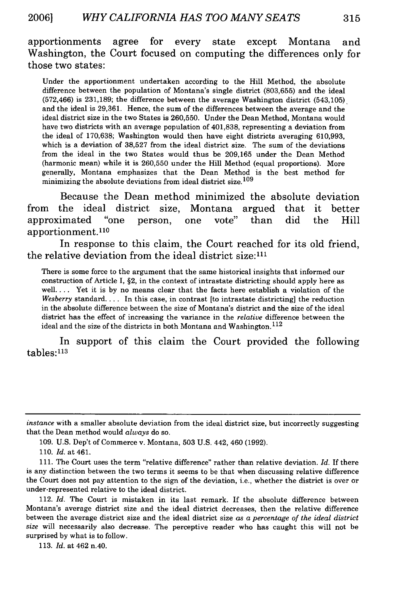apportionments agree for every state except Montana and Washington, the Court focused on computing the differences only for those two states:

Under the apportionment undertaken according to the Hill Method, the absolute difference between the population of Montana's single district (803,655) and the ideal  $(572,466)$  is  $231,189$ ; the difference between the average Washington district  $(543,105)$ and the ideal is 29,361. Hence, the sum of the differences between the average and the ideal district size in the two States is 260,550. Under the Dean Method, Montana would have two districts with an average population of 401,838, representing a deviation from the ideal of 170,638; Washington would then have eight districts averaging 610,993, which is a deviation of 38,527 from the ideal district size. The sum of the deviations from the ideal in the two States would thus be 209,165 under the Dean Method (harmonic mean) while it is 260,550 under the Hill Method (equal proportions). More generally, Montana emphasizes that the Dean Method is the best method for minimizing the absolute deviations from ideal district size. <sup>109</sup>

Because the Dean method minimized the absolute deviation from the ideal district size, Montana argued that it better approximated "one person, one vote" than did the Hill apportionment. **<sup>110</sup>**

In response to this claim, the Court reached for its old friend, the relative deviation from the ideal district size:111

There is some force to the argument that the same historical insights that informed our construction of Article I, §2, in the context of intrastate districting should apply here as well.... Yet it is by no means clear that the facts here establish a violation of the *Wesberry* standard.... In this case, in contrast [to intrastate districting] the reduction in the absolute difference between the size of Montana's district and the size of the ideal district has the effect of increasing the variance in the *relative* difference between the ideal and the size of the districts in both Montana and Washington.  $^{112}$ 

In support of this claim the Court provided the following  $tables:  $113$$ 

110. *Id.* at 461.

113. *Id.* at 462 n.40.

*instance* with a smaller absolute deviation from the ideal district size, but incorrectly suggesting that the Dean method would *always* do so.

<sup>109.</sup> U.S. Dep't of Commerce v. Montana, 503 U.S. 442, 460 (1992).

<sup>111.</sup> The Court uses the term "relative difference" rather than relative deviation. *Id.* If there is any distinction between the two terms it seems to be that when discussing relative difference the Court does not pay attention to the sign of the deviation, i.e., whether the district is over or under-represented relative to the ideal district.

<sup>112.</sup> *Id.* The Court is mistaken in its last remark. If the absolute difference between Montana's average district size and the ideal district decreases, then the relative difference between the average district size and the ideal district size *as a percentage of the ideal district size* will necessarily also decrease. The perceptive reader who has caught this will not be surprised by what is to follow.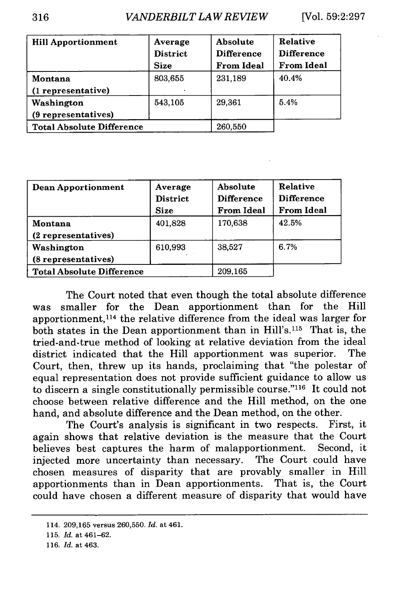| <b>Hill Apportionment</b>        | Average<br><b>District</b><br><b>Size</b> | Absolute<br><b>Difference</b><br><b>From Ideal</b> | <b>Relative</b><br><b>Difference</b><br><b>From Ideal</b> |
|----------------------------------|-------------------------------------------|----------------------------------------------------|-----------------------------------------------------------|
| Montana                          | 803,655                                   | 231,189                                            | 40.4%                                                     |
| (1 representative)               |                                           |                                                    |                                                           |
| Washington                       | 543,105                                   | 29,361                                             | 5.4%                                                      |
| (9 representatives)              |                                           |                                                    |                                                           |
| <b>Total Absolute Difference</b> |                                           | 260,550                                            |                                                           |

| Dean Apportionment               | Average<br><b>District</b><br><b>Size</b> | Absolute<br><b>Difference</b><br><b>From Ideal</b> | Relative<br><b>Difference</b><br><b>From Ideal</b> |
|----------------------------------|-------------------------------------------|----------------------------------------------------|----------------------------------------------------|
| Montana                          | 401,828                                   | 170,638                                            | 42.5%                                              |
| (2 representatives)              |                                           |                                                    |                                                    |
| Washington                       | 610,993                                   | 38,527                                             | 6.7%                                               |
| (8 representatives)              |                                           |                                                    |                                                    |
| <b>Total Absolute Difference</b> |                                           | 209,165                                            |                                                    |

The Court noted that even though the total absolute difference was smaller for the Dean apportionment than for the Hill apportionment, 114 the relative difference from the ideal was larger for both states in the Dean apportionment than in Hill's.<sup>115</sup> That is, the tried-and-true method of looking at relative deviation from the ideal district indicated that the Hill apportionment was superior. The Court, then, threw up its hands, proclaiming that "the polestar of equal representation does not provide sufficient guidance to allow us to discern a single constitutionally permissible course." $116$  It could not choose between relative difference and the Hill method, on the one hand, and absolute difference and the Dean method, on the other.

The Court's analysis is significant in two respects. First, it again shows that relative deviation is the measure that the Court believes best captures the harm of malapportionment. Second, it injected more uncertainty than necessary. The Court could have chosen measures of disparity that are provably smaller in Hill apportionments than in Dean apportionments. That is, the Court could have chosen a different measure of disparity that would have

<sup>114. 209,165</sup> versus 260,550. *Id.* at 461.

<sup>115.</sup> *Id.* at 461-62.

<sup>116.</sup> *Id.* at 463.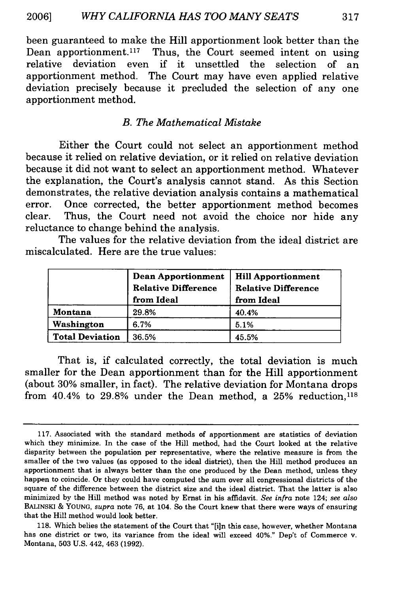been guaranteed to make the Hill apportionment look better than the<br>Dean apportionment.<sup>117</sup> Thus, the Court seemed intent on using Thus, the Court seemed intent on using relative deviation even if it unsettled the selection of an apportionment method. The Court may have even applied relative deviation precisely because it precluded the selection of any one apportionment method.

#### *B. The Mathematical Mistake*

Either the Court could not select an apportionment method because it relied on relative deviation, or it relied on relative deviation because it did not want to select an apportionment method. Whatever the explanation, the Court's analysis cannot stand. As this Section demonstrates, the relative deviation analysis contains a mathematical error. Once corrected, the better apportionment method becomes clear. Thus, the Court need not avoid the choice nor hide any reluctance to change behind the analysis.

The values for the relative deviation from the ideal district are miscalculated. Here are the true values:

|                        | Dean Apportionment<br><b>Relative Difference</b><br>from Ideal | <b>Hill Apportionment</b><br><b>Relative Difference</b><br>from Ideal |
|------------------------|----------------------------------------------------------------|-----------------------------------------------------------------------|
| Montana                | 29.8%                                                          | 40.4%                                                                 |
| Washington             | 6.7%                                                           | 5.1%                                                                  |
| <b>Total Deviation</b> | 36.5%                                                          | 45.5%                                                                 |

That is, if calculated correctly, the total deviation is much smaller for the Dean apportionment than for the Hill apportionment (about **30%** smaller, in fact). The relative deviation for Montana drops from 40.4% to **29.8%** under the Dean method, a **25%** reduction, <sup>118</sup>

**<sup>117.</sup>** Associated with the standard methods of apportionment are statistics of deviation which they minimize. In the case of the Hill method, had the Court looked at the relative disparity between the population per representative, where the relative measure is from the smaller of the two values (as opposed to the ideal district), then the Hill method produces an apportionment that is always better than the one produced **by** the Dean method, unless they happen to coincide. Or they could have computed the sum over all congressional districts of the square of the difference between the district size and the ideal district. That the latter is also minimized **by** the Hill method was noted **by** Ernst in his affidavit. *See infra* note 124; *see also* **BALINSKI & YOUNG,** *supra* note **76,** at 104. So the Court knew that there were ways of ensuring that the Hill method would look better.

**<sup>118.</sup>** Which belies the statement of the Court that **"[i]n** this case, however, whether Montana has one district or two, its variance from the ideal will exceed 40%." Dep't of Commerce v. Montana, **503 U.S.** 442, 463 **(1992).**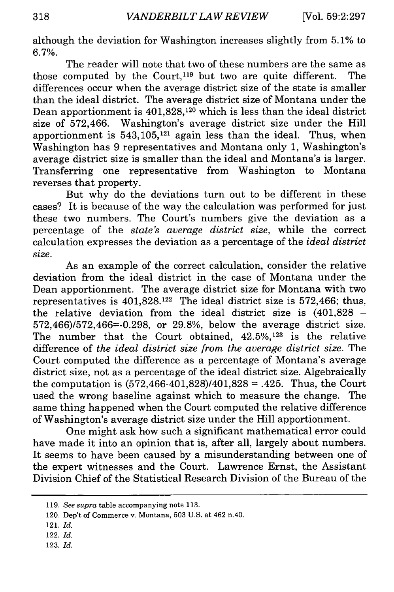although the deviation for Washington increases slightly from 5.1% to 6.7%.

The reader will note that two of these numbers are the same as those computed by the Court.<sup>119</sup> but two are quite different. The differences occur when the average district size of the state is smaller than the ideal district. The average district size of Montana under the Dean apportionment is 401,828,120 which is less than the ideal district size of 572,466. Washington's average district size under the Hill apportionment is  $543,105$ ,<sup>121</sup> again less than the ideal. Thus, when Washington has 9 representatives and Montana only 1, Washington's average district size is smaller than the ideal and Montana's is larger. Transferring one representative from Washington to Montana reverses that property.

But why do the deviations turn out to be different in these cases? It is because of the way the calculation was performed for just these two numbers. The Court's numbers give the deviation as a percentage of the *state's average district size,* while the correct calculation expresses the deviation as a percentage of the *ideal district size.*

As an example of the correct calculation, consider the relative deviation from the ideal district in the case of Montana under the Dean apportionment. The average district size for Montana with two representatives is 401,828.122 The ideal district size is 572,466; thus, the relative deviation from the ideal district size is  $(401,828 -$ 572,466)/572,466=-0.298, or 29.8%, below the average district size. The number that the Court obtained, 42.5%,123 is the relative difference of *the ideal district size from the average district size.* The Court computed the difference as a percentage of Montana's average district size, not as a percentage of the ideal district size. Algebraically the computation is  $(572, 466-401, 828)/401, 828 = .425$ . Thus, the Court used the wrong baseline against which to measure the change. The same thing happened when the Court computed the relative difference of Washington's average district size under the Hill apportionment.

One might ask how such a significant mathematical error could have made it into an opinion that is, after all, largely about numbers. It seems to have been caused by a misunderstanding between one of the expert witnesses and the Court. Lawrence Ernst, the Assistant Division Chief of the Statistical Research Division of the Bureau of the

- 121. *Id.*
- 122. *Id.*
- 123. *Id.*

<sup>119.</sup> *See supra* table accompanying note 113.

<sup>120.</sup> Dep't of Commerce v. Montana, **503** U.S. at 462 n.40.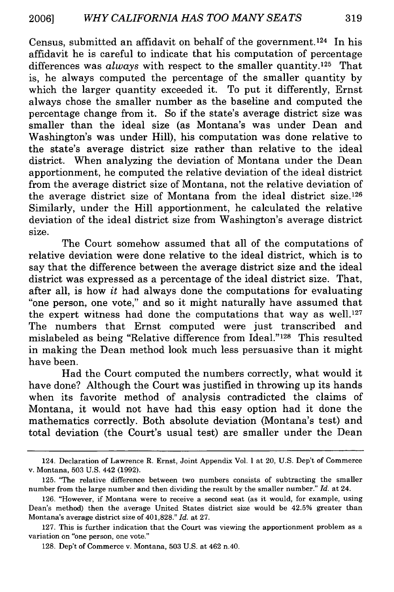Census, submitted an affidavit on behalf of the government. 124 In his affidavit he is careful to indicate that his computation of percentage differences was *always* with respect to the smaller quantity.<sup>125</sup> That is, he always computed the percentage of the smaller quantity by which the larger quantity exceeded it. To put it differently, Ernst always chose the smaller number as the baseline and computed the percentage change from it. So if the state's average district size was smaller than the ideal size (as Montana's was under Dean and Washington's was under Hill), his computation was done relative to the state's average district size rather than relative to the ideal district. When analyzing the deviation of Montana under the Dean apportionment, he computed the relative deviation of the ideal district from the average district size of Montana, not the relative deviation of the average district size of Montana from the ideal district size. <sup>126</sup> Similarly, under the Hill apportionment, he calculated the relative deviation of the ideal district size from Washington's average district size.

The Court somehow assumed that all of the computations of relative deviation were done relative to the ideal district, which is to say that the difference between the average district size and the ideal district was expressed as a percentage of the ideal district size. That, after all, is how *it* had always done the computations for evaluating "one person, one vote," and so it might naturally have assumed that the expert witness had done the computations that way as well.<sup>127</sup> The numbers that Ernst computed were just transcribed and mislabeled as being "Relative difference from Ideal."'128 This resulted in making the Dean method look much less persuasive than it might have been.

Had the Court computed the numbers correctly, what would it have done? Although the Court was justified in throwing up its hands when its favorite method of analysis contradicted the claims of Montana, it would not have had this easy option had it done the mathematics correctly. Both absolute deviation (Montana's test) and total deviation (the Court's usual test) are smaller under the Dean

<sup>124.</sup> Declaration of Lawrence R. Ernst, Joint Appendix Vol. I at 20, U.S. Dep't of Commerce v. Montana, 503 U.S. 442 (1992).

<sup>125. &#</sup>x27;The relative difference between two numbers consists of subtracting the smaller number from the large number and then dividing the result by the smaller number." *Id.* at 24.

<sup>126. &</sup>quot;However, if Montana were to receive a second seat (as it would, for example, using Dean's method) then the average United States district size would be 42.5% greater than Montana's average district size of 401,828." *Id.* at 27.

<sup>127.</sup> This is further indication that the Court was viewing the apportionment problem as a variation on "one person, one vote."

<sup>128.</sup> Dep't of Commerce v. Montana, 503 U.S. at 462 n.40.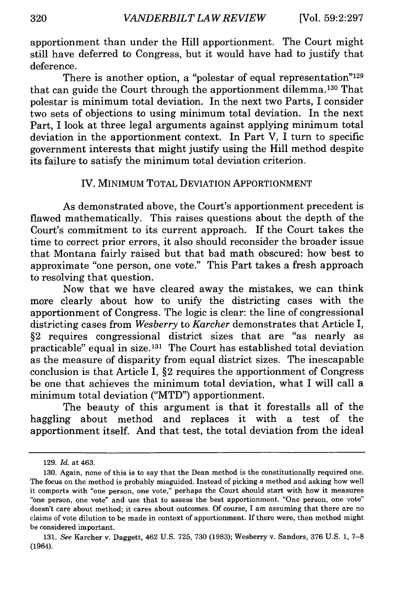apportionment than under the Hill apportionment. The Court might still have deferred to Congress, but it would have had to justify that deference.

There is another option, a "polestar of equal representation"<sup>129</sup> that can guide the Court through the apportionment dilemma. 130 That polestar is minimum total deviation. In the next two Parts, I consider two sets of objections to using minimum total deviation. In the next Part, I look at three legal arguments against applying minimum total deviation in the apportionment context. In Part V, I turn to specific government interests that might justify using the Hill method despite its failure to satisfy the minimum total deviation criterion.

#### IV. MINIMUM TOTAL DEVIATION APPORTIONMENT

As demonstrated above, the Court's apportionment precedent is flawed mathematically. This raises questions about the depth of the Court's commitment to its current approach. If the Court takes the time to correct prior errors, it also should reconsider the broader issue that Montana fairly raised but that bad math obscured: how best to approximate "one person, one vote." This Part takes a fresh approach to resolving that question.

Now that we have cleared away the mistakes, we can think more clearly about how to unify the districting cases with the apportionment of Congress. The logic is clear: the line of congressional districting cases from *Wesberry* to *Karcher* demonstrates that Article I, §2 requires congressional district sizes that are "as nearly as practicable" equal in size. 131 The Court has established total deviation as the measure of disparity from equal district sizes. The inescapable conclusion is that Article I, §2 requires the apportionment of Congress be one that achieves the minimum total deviation, what I will call a minimum total deviation ("MTD") apportionment.

The beauty of this argument is that it forestalls all of the haggling about method and replaces it with a test of the apportionment itself. And that test, the total deviation from the ideal

<sup>129.</sup> *Id.* at 463.

<sup>130.</sup> Again, none of this is to say that the Dean method is the constitutionally required one. The focus on the method is probably misguided. Instead of picking a method and asking how well it comports with "one person, one vote," perhaps the Court should start with how it measures "one person, one vote" and use that to assess the best apportionment. "One person, one vote" doesn't care about method; it cares about outcomes. Of course, I am assuming that there are no claims of vote dilution to be made in context of apportionment. If there were, then method might be considered important.

<sup>131.</sup> *See* Karcher v. Daggett, 462 U.S. 725, 730 (1983); Wesberry v. Sanders, 376 U.S. 1, 7-8 (1964).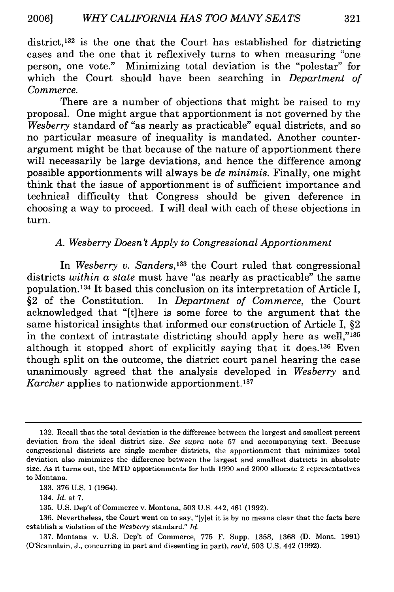district, $132$  is the one that the Court has established for districting cases and the one that it reflexively turns to when measuring "one person, one vote." Minimizing total deviation is the "polestar" for which the Court should have been searching in *Department of Commerce.*

There are a number of objections that might be raised to my proposal. One might argue that apportionment is not governed by the *Wesberry* standard of "as nearly as practicable" equal districts, and so no particular measure of inequality is mandated. Another counterargument might be that because of the nature of apportionment there will necessarily be large deviations, and hence the difference among possible apportionments will always be *de minimis.* Finally, one might think that the issue of apportionment is of sufficient importance and technical difficulty that Congress should be given deference in choosing a way to proceed. I will deal with each of these objections in turn.

### *A. Wesberry Doesn't Apply to Congressional Apportionment*

In *Wesberry v. Sanders*<sup>133</sup> the Court ruled that congressional districts *within a state* must have "as nearly as practicable" the same population.134 It based this conclusion on its interpretation of Article I, §2 of the Constitution. In *Department of Commerce,* the Court acknowledged that "[t]here is some force to the argument that the same historical insights that informed our construction of Article I, §2 in the context of intrastate districting should apply here as well,"135 although it stopped short of explicitly saying that it does.<sup>136</sup> Even though split on the outcome, the district court panel hearing the case unanimously agreed that the analysis developed in *Wesberry* and *Karcher* applies to nationwide apportionment. **<sup>137</sup>**

<sup>132.</sup> Recall that the total deviation is the difference between the largest and smallest percent deviation from the ideal district size. *See supra* note 57 and accompanying text. Because congressional districts are single member districts, the apportionment that minimizes total deviation also minimizes the difference between the largest and smallest districts in absolute size. As it turns out, the MTD apportionments for both 1990 and 2000 allocate 2 representatives to Montana.

<sup>133. 376</sup> U.S. 1 (1964).

<sup>134.</sup> *Id.* at 7.

<sup>135.</sup> U.S. Dep't of Commerce v. Montana, 503 U.S. 442, 461 (1992).

<sup>136.</sup> Nevertheless, the Court went on to say, "[y]et it is by no means clear that the facts here establish a violation of the *Wesberry* standard." *Id.*

<sup>137.</sup> Montana v. U.S. Dep't of Commerce, 775 F. Supp. 1358, 1368 (D. Mont. 1991) (O'Scannlain, J., concurring in part and dissenting in part), *reu'd,* 503 U.S. 442 (1992).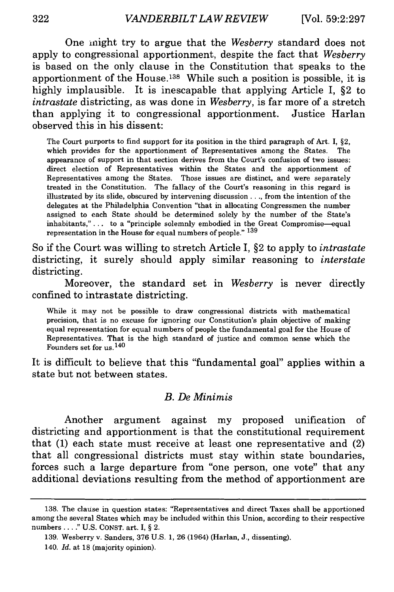One inight try to argue that the *Wesberry* standard does not apply to congressional apportionment, despite the fact that *Wesberry* is based on the only clause in the Constitution that speaks to the apportionment of the House.<sup>138</sup> While such a position is possible, it is **highly** implausible. It is inescapable that applying Article **I,** §2 to *intrastate* districting, as was done in *Wesberry,* is far more of a stretch than applying it to congressional apportionment. Justice Harlan observed this in his dissent:

The Court purports to find support for its position in the third paragraph of Art. **I,** §2, which provides for the apportionment of Representatives among the States. The appearance of support in that section derives from the Court's confusion of two issues: direct election of Representatives within the States and the apportionment of Representatives among the States. Those issues are distinct, and were separately treated in the Constitution. The fallacy of the Court's reasoning in this regard is illustrated **by** its slide, obscured **by** intervening discussion..., from the intention of the delegates at the Philadelphia Convention "that in allocating Congressmen the number assigned to each State should be determined solely **by** the number of the State's inhabitants,"... to a "principle solemnly embodied in the Great Compromise—equal representation in the House for equal numbers of people." **<sup>139</sup>**

So if the Court was willing to stretch Article **I,** §2 to apply to *intrastate* districting, it surely should apply similar reasoning to *interstate* districting.

Moreover, the standard set in *Wesberry* is never directly confined to intrastate districting.

While it may not be possible to draw congressional districts with mathematical precision, that is no excuse for ignoring our Constitution's plain objective of making equal representation for equal numbers of people the fundamental goal for the House of Representatives. That is the high standard of justice and common sense which the Founders set for us. **<sup>140</sup>**

It is difficult to believe that this "fundamental goal" applies within a state but not between states.

#### *B. De Minimis*

Another argument against my proposed unification of districting and apportionment is that the constitutional requirement that **(1)** each state must receive at least one representative and (2) that all congressional districts must stay within state boundaries, forces such a large departure from "one person, one vote" that any additional deviations resulting from the method of apportionment are

**<sup>138.</sup>** The clause in question states: "Representatives and direct Taxes shall be apportioned among the several States which may be included within this Union, according to their respective numbers...." **U.S. CONST.** art. I, **§** 2.

**<sup>139.</sup>** Wesberry v. Sanders, **376 U.S. 1, 26** (1964) (Harlan, **J.,** dissenting). **140.** *Id.* at **18** (majority opinion).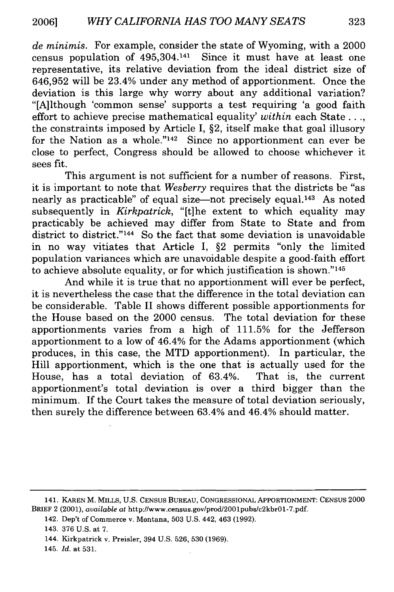*de minimis.* For example, consider the state of Wyoming, with a 2000 census population of 495,304.141 Since it must have at least one representative, its relative deviation from the ideal district size of 646,952 will be 23.4% under any method of apportionment. Once the deviation is this large why worry about any additional variation? "[A]lthough 'common sense' supports a test requiring 'a good faith effort to achieve precise mathematical equality' *within* each State **...,** the constraints imposed by Article I, §2, itself make that goal illusory for the Nation as a whole."<sup>142</sup> Since no apportionment can ever be close to perfect, Congress should be allowed to choose whichever it sees fit.

This argument is not sufficient for a number of reasons. First, it is important to note that *Wesberry* requires that the districts be "as nearly as practicable" of equal size—not precisely equal.<sup>143</sup> As noted subsequently in *Kirkpatrick,* "[t]he extent to which equality may practicably be achieved may differ from State to State and from district to district."<sup>144</sup> So the fact that some deviation is unavoidable in no way vitiates that Article I, §2 permits "only the limited population variances which are unavoidable despite a good-faith effort to achieve absolute equality, or for which justification is shown."'145

And while it is true that no apportionment will ever be perfect, it is nevertheless the case that the difference in the total deviation can be considerable. Table II shows different possible apportionments for the House based on the 2000 census. The total deviation for these apportionments varies from a high of 111.5% for the Jefferson apportionment to a low of 46.4% for the Adams apportionment (which produces, in this case, the MTD apportionment). In particular, the Hill apportionment, which is the one that is actually used for the House, has a total deviation of 63.4%. That is, the current apportionment's total deviation is over a third bigger than the minimum. If the Court takes the measure of total deviation seriously, then surely the difference between 63.4% and 46.4% should matter.

<sup>141.</sup> KAREN M. MILLS, U.S. CENSUS BuREAu, CONGRESSIONAL APPORTIONMENT: CENSUS 2000 BRIEF 2 (2001), *available at* http://www.census.gov/prod/2001pubs/c2kbrO1-7.pdf.

<sup>142.</sup> Dep't of Commerce v. Montana, 503 U.S. 442, 463 (1992).

<sup>143. 376</sup> U.S. at 7.

<sup>144.</sup> Kirkpatrick v. Preisler, 394 U.S. 526, 530 (1969).

<sup>145.</sup> *Id.* at **531.**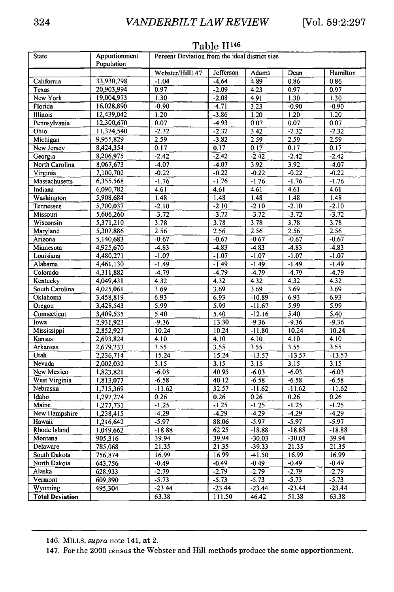| <b>State</b>                 | Apportionment<br>Population | .<br>Pereent Deviation from the ideal district size |                   |                      |                   |                  |  |
|------------------------------|-----------------------------|-----------------------------------------------------|-------------------|----------------------|-------------------|------------------|--|
|                              |                             | Webster/Hill147                                     | <b>Jefferson</b>  | Adams                | Dean              | Hamilton         |  |
| California                   | 33,930,798                  | $-1.04$                                             | $-4.64$           | 4.89                 | 0.86              | 0.86             |  |
| Texas                        | 20,903,994                  | 0.97                                                | $-2.09$           | 4.23                 | 0.97              | 0.97             |  |
| New York                     | 19,004,973                  | 1.30                                                | $-2.08$           | 4.91                 | 1.30              | 1.30             |  |
| Florida                      | 16,028,890                  | $-0.90$                                             | $-4.71$           | 3.23                 | $-0.90$           | $-0.90$          |  |
| Illinois                     | 12,439,042                  | 1.20                                                | $-3.86$           | 1.20                 | 1.20              | 1.20             |  |
| Pennsylvania                 | 12,300,670                  | 0.07                                                | $-4.93$           | 0.07                 | 0.07              | 0.07             |  |
| Ohio                         | 11,374,540                  | $-2.32$                                             | $-2.32$           | 3.42                 | $-2.32$           | $-2.32$          |  |
| Michigan                     | 9,955,829                   | 2.59                                                | $-3.82$           | 2.59                 | 2.59              | 2.59             |  |
| New Jersey                   | 8,424,354                   | 0.17                                                | 0.17              | 0.17                 | 0.17              | 0.17             |  |
| Georgia                      | 8,206,975                   | $-2.42$                                             | $-2.42$           | $-2.42$              | $-2.42$           | $-2.42$          |  |
| North Carolina               | 8,067,673                   | $-4.07$                                             | $-4.07$           | 3.92                 | 3.92              | $-4.07$          |  |
| Virginia                     | 7,100,702                   | $-0.22$                                             | $-0.22$           | $-0.22$              | $-0.22$           | $-0.22$          |  |
| Massachusetts                | 6,355,568                   | $-1.76$                                             | $-1.76$           | $-1.76$              | $-1.76$           | $-1.76$          |  |
| Indiana                      | 6,090,782                   | 4.61                                                | 4.61              | 4.61                 | 4.61              | 4.61             |  |
| Washington                   | 5,908,684                   | 1.48                                                | 1.48              | 1.48                 | 1.48              | 1.48             |  |
| Tennessee                    | 5,700,037                   | $-2.10$                                             | $-2.10$           | $-2.10$              | $-2.10$           | $-2.10$          |  |
| Missouri                     | 5,606,260                   | $-3.72$                                             | $-3.72$           | $-3.72$              | $-3.72$           | $-3.72$          |  |
| Wisconsin                    | 5,371,210                   | 3.78                                                | 3.78              | 3.78                 | 3.78              | 3.78             |  |
| Maryland                     | 5,307,886                   | 2.56                                                | 2.56              | 2.56                 | 2.56              | 2,56             |  |
| Arizona                      | 5,140,683                   | $-0.67$                                             | $-0.67$           | $-0.67$              | $-0.67$           | $-0.67$          |  |
| Minnesota                    | 4,925,670                   | $-4.83$                                             | $-4.83$           | $-4.83$              | $-4.83$           | $-4.83$          |  |
| Louisiana                    | 4,480,271                   | $-1.07$                                             | $-1.07$           | $-1.07$              | $-1.07$           | $-1.07$          |  |
| Alabama                      | 4,461,130                   | $-1.49$                                             | $-1.49$           | $-1.49$              | $-1.49$           | $-1.49$          |  |
| Colorado                     | 4,311,882                   | $-4.79$                                             | $-4.79$           | $-4.79$              | $-4.79$           | $-4.79$          |  |
| Kentueky                     | 4,049,431                   | 4.32                                                | $\overline{4.32}$ | 4.32                 | 4.32              | 4.32             |  |
| South Carolina               | 4,025,061                   | 3.69                                                | 3.69              | 3.69                 | 3.69              | 3.69             |  |
| Oklahoma                     | 3,458,819                   | 6.93                                                | 6.93              | $-10.89$             | 6.93              | 6.93             |  |
| Oregon                       | 3,428,543                   | 5.99                                                | 5.99              | $-11.67$             | 5.99              | 5.99             |  |
| Connecticut                  | 3,409,535                   | 5.40                                                | 5.40              | $-12.16$             | 5.40              | 5.40             |  |
| lowa                         | 2,931,923                   | $-9.36$                                             | 13.30             | $-9.36$              | $-9.36$           | $-9.36$          |  |
| Mississippi                  | 2,852,927                   | 10.24                                               | 10.24             | $-11.80$             | 10.24             | 10.24            |  |
| Kansas                       | 2,693,824                   | 4.10                                                | 4.10              | 4.10                 | 4.10              | 4.10             |  |
| <b>Arkansas</b>              | 2,679,733                   | 3.55                                                | 3.55              | 3.55                 | 3.55              | 3.55             |  |
| Utah                         | 2,236,714                   | 15.24                                               | 15.24             | $-13.57$             | $-13.57$          | $-13.57$         |  |
| Nevada                       | 2,002,032                   | 3.15                                                | 3.15              | 3.15                 | 3.15              | 3.15             |  |
| New Mexico                   | 1,823,821                   | $-6.03$                                             | 40.95             | $-6.03$              | $-6.03$           | $-6.03$          |  |
| West Virginia                | 1,813,077                   | $-6.58$                                             | 40.12             | $-6.58$              | $-6.58$           | $-6.58$          |  |
| Nebraska                     | 1,715,369                   | $-11.62$                                            | 32.57             | $-11.62$             | $-11.62$          | $-11.62$         |  |
| ldaho                        | 1,297,274                   | 0.26                                                | 0.26              | 0.26                 | 0.26              | 0.26             |  |
| Maine                        | 1,277,731                   | $-1.25$                                             | $-1.25$           | $-1.25$              | $-1.25$           | $-1.25$          |  |
| New Hampshire                | 1,238,415                   | $-4.29$                                             | $-4.29$           | $-4.29$              | $-4.29$           | $-4.29$          |  |
| Hawaii                       | 1,216,642                   | $-5.97$                                             | 88.06             | $-5.97$              | $-5.97$           | $-5.97$          |  |
| Rhode Island                 | 1,049,662                   | $-18.88$                                            | 62.25             | $-18.88$             | $-18.88$          | $-18.88$         |  |
| Montana<br>Delaware          | 905,316                     | 39.94                                               | 39.94             | $-30.03$<br>$-39.33$ | $-30.03$<br>21.35 | 39.94<br>21.35   |  |
|                              | 785,068                     | 21.35                                               | 21.35             |                      |                   |                  |  |
| South Dakota<br>North Dakota | 756,874                     | 16.99<br>$-0.49$                                    | 16.99<br>$-0.49$  | $-41.50$<br>$-0.49$  | 16.99<br>$-0.49$  | 16.99<br>$-0.49$ |  |
| Alaska                       | 643,756<br>628,933          | $-2.79$                                             | $-2.79$           | $-2.79$              | $-2.79$           | $-2.79$          |  |
| Vermont                      | 609,890                     | $-5.73$                                             | $-5.73$           | $-5.73$              | $-5.73$           | $-5.73$          |  |
| Wyoming                      | 495,304                     | $-23.44$                                            | $-23.44$          | $-23.44$             | $-23.44$          | $-23.44$         |  |
| <b>Total Deviation</b>       |                             | 63.38                                               |                   | 46.42                | 51.38             | 63.38            |  |
|                              |                             |                                                     | 111.50            |                      |                   |                  |  |

#### Table <sup>11146</sup>

147. For the 2000 census the Webster and Hill methods produce the same apportionment.

<sup>146.</sup> MILLS, *supra* note 141, at 2.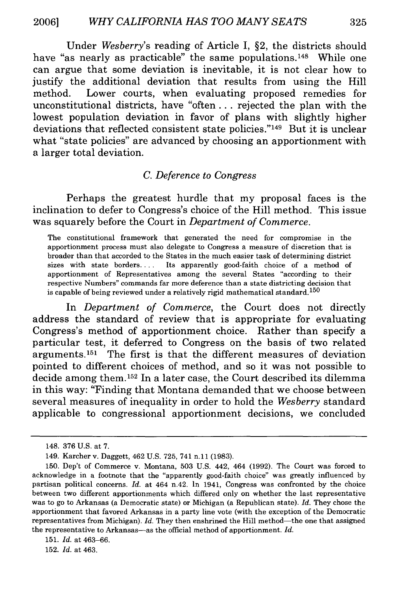Under *Wesberry's* reading of Article I, §2, the districts should have "as nearly as practicable" the same populations.<sup>148</sup> While one can argue that some deviation is inevitable, it is not clear how to justify the additional deviation that results from using the Hill method. Lower courts, when evaluating proposed remedies for unconstitutional districts, have "often **. .** . rejected the plan with the lowest population deviation in favor of plans with slightly higher deviations that reflected consistent state policies."<sup>149</sup> But it is unclear what "state policies" are advanced by choosing an apportionment with a larger total deviation.

#### *C. Deference to Congress*

Perhaps the greatest hurdle that my proposal faces is the inclination to defer to Congress's choice of the Hill method. This issue was squarely before the Court in *Department of Commerce.*

The constitutional framework that generated the need for compromise in the apportionment process must also delegate to Congress a measure of discretion that is broader than that accorded to the States in the much easier task of determining district sizes with state borders **....** Its apparently good-faith choice of a method of apportionment of Representatives among the several States "according to their respective Numbers" commands far more deference than a state districting decision that is capable of being reviewed under a relatively rigid mathematical standard.<sup>150</sup>

In *Department of Commerce,* the Court does not directly address the standard of review that is appropriate for evaluating Congress's method of apportionment choice. Rather than specify a particular test, it deferred to Congress on the basis of two related arguments.<sup>151</sup> The first is that the different measures of deviation pointed to different choices of method, and so it was not possible to decide among them. 152 In a later case, the Court described its dilemma in this way: "Finding that Montana demanded that we choose between several measures of inequality in order to hold the *Wesberry* standard applicable to congressional apportionment decisions, we concluded

<sup>148. 376</sup> U.S. at 7.

<sup>149.</sup> Karcher v. Daggett, 462 U.S. 725, 741 n.ll (1983).

<sup>150.</sup> Dep't of Commerce v. Montana, 503 U.S. 442, 464 (1992). The Court was forced to acknowledge in a footnote that the "apparently good-faith choice" was greatly influenced by partisan political concerns. *Id.* at 464 n.42. In 1941, Congress was confronted by the choice between two different apportionments which differed only on whether the last representative was to go to Arkansas (a Democratic state) or Michigan (a Republican state). *Id.* They chose the apportionment that favored Arkansas in a party line vote (with the exception of the Democratic representatives from Michigan). *Id.* They then enshrined the Hill method—the one that assigned the representative to Arkansas-as the official method of apportionment. *Id.* 

<sup>151.</sup> *Id.* at 463-66.

<sup>152.</sup> *Id.* at 463.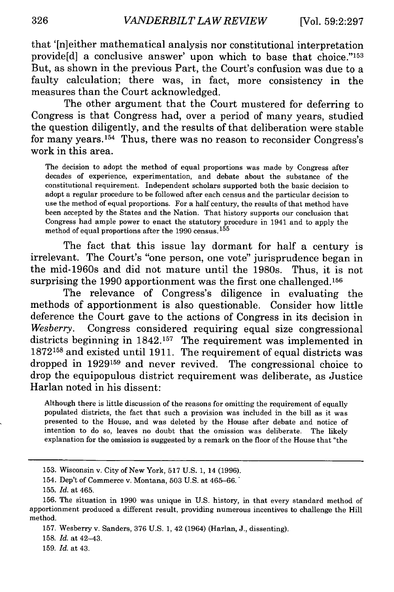that '[n]either mathematical analysis nor constitutional interpretation provide[d] a conclusive answer' upon which to base that choice."'153 But, as shown in the previous Part, the Court's confusion was due to a faulty calculation; there was, in fact, more consistency in the measures than the Court acknowledged.

The other argument that the Court mustered for deferring to Congress is that Congress had, over a period of many years, studied the question diligently, and the results of that deliberation were stable for many years.154 Thus, there was no reason to reconsider Congress's work in this area.

The decision to adopt the method of equal proportions was made **by** Congress after decades of experience, experimentation, and debate about the substance of the constitutional requirement. Independent scholars supported both the basic decision to adopt a regular procedure to be followed after each census and the particular decision to use the method of equal proportions. For a half century, the results of that method have been accepted **by** the States and the Nation. That history supports our conclusion that Congress had ample power to enact the statutory procedure in 1941 and to apply the method of equal proportions after the **1990** census. **<sup>1</sup> <sup>5</sup> <sup>5</sup>**

The fact that this issue lay dormant for half a century is irrelevant. The Court's "one person, one vote" jurisprudence began in the mid-1960s and did not mature until the 1980s. Thus, it is not surprising the **1990** apportionment was the first one challenged. <sup>156</sup>

The relevance of Congress's diligence in evaluating the methods of apportionment is also questionable. Consider how little deference the Court gave to the actions of Congress in its decision in *Wesberry.* Congress considered requiring equal size congressional districts beginning in **1842.157** The requirement was implemented in **<sup>1872158</sup>**and existed until **1911.** The requirement of equal districts was dropped in **1929159** and never revived. The congressional choice to drop the equipopulous district requirement was deliberate, as Justice Harlan noted in his dissent:

Although there is little discussion of the reasons for omitting the requirement of equally populated districts, the fact that such a provision was included in the bill as it was presented to the House, and was deleted **by** the House after debate and notice of intention to do so, leaves no doubt that the omission was deliberate. The likely explanation for the omission is suggested **by** a remark on the floor of the House that "the

**158.** *Id.* at 42-43.

**159.** *Id.* at 43.

**<sup>153.</sup>** Wisconsin v. City of New York, **517 U.S. 1,** 14 **(1996).**

<sup>154.</sup> Dep't of Commerce v. Montana, **503 U.S.** at **465-66.**

**<sup>155.</sup>** *Id.* at 465.

**<sup>156.</sup>** The situation in **1990** was unique in **U.S.** history, in that every standard method of apportionment produced a different result, providing numerous incentives to challenge the Hill method.

**<sup>157.</sup>** Wesberry v. Sanders, **376 U.S. 1,** 42 (1964) (Harlan, **J.,** dissenting).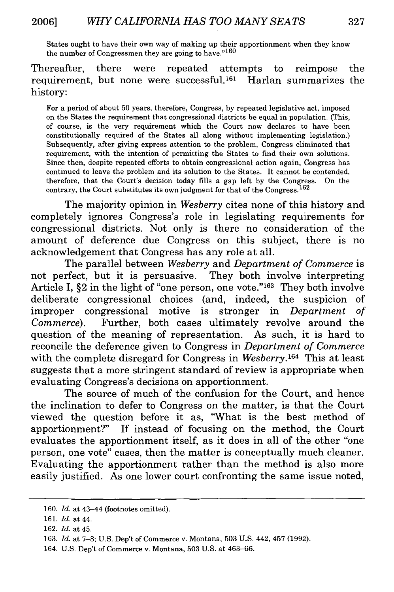States ought to have their own way of making up their apportionment when they know the number of Congressmen they are going to have."<sup>160</sup>

Thereafter, there were repeated attempts to reimpose the requirement, but none were successful.<sup>161</sup> Harlan summarizes the history:

For a period of about **50** years, therefore, Congress, by repeated legislative act, imposed on the States the requirement that congressional districts be equal in population. (This, of course, is the very requirement which the Court now declares to have been constitutionally required of the States all along without implementing legislation.) Subsequently, after giving express attention to the problem, Congress eliminated that requirement, with the intention of permitting the States to find their own solutions. Since then, despite repeated efforts to obtain congressional action again, Congress has continued to leave the problem and its solution to the States. It cannot be contended, therefore, that the Court's decision today fills a gap left by the Congress. On the contrary, the Court substitutes its own judgment for that of the Congress.<sup>162</sup>

The majority opinion in *Wesberry* cites none of this history and completely ignores Congress's role in legislating requirements for congressional districts. Not only is there no consideration of the amount of deference due Congress on this subject, there is no acknowledgement that Congress has any role at all.

The parallel between *Wesberry* and *Department of Commerce* is not perfect, but it is persuasive. They both involve interpreting Article I,  $\S 2$  in the light of "one person, one vote."<sup>163</sup> They both involve deliberate congressional choices (and, indeed, the suspicion of improper congressional motive is stronger in *Department of Commerce).* Further, both cases ultimately revolve around the question of the meaning of representation. As such, it is hard to reconcile the deference given to Congress in *Department of Commerce* with the complete disregard for Congress in *Wesberry*.<sup>164</sup> This at least suggests that a more stringent standard of review is appropriate when evaluating Congress's decisions on apportionment.

The source of much of the confusion for the Court, and hence the inclination to defer to Congress on the matter, is that the Court viewed the question before it as, "What is the best method of apportionment?" If instead of focusing on the method, the Court evaluates the apportionment itself, as it does in all of the other "one person, one vote" cases, then the matter is conceptually much cleaner. Evaluating the apportionment rather than the method is also more easily justified. As one lower court confronting the same issue noted,

<sup>160.</sup> *Id.* at 43-44 (footnotes omitted).

<sup>161.</sup> *Id.* at 44.

<sup>162.</sup> *Id.* at 45.

<sup>163.</sup> *Id.* at 7-8; U.S. Dep't of Commerce v. Montana, 503 U.S. 442, 457 (1992).

<sup>164.</sup> U.S. Dep't of Commerce v. Montana, 503 U.S. at 463-66.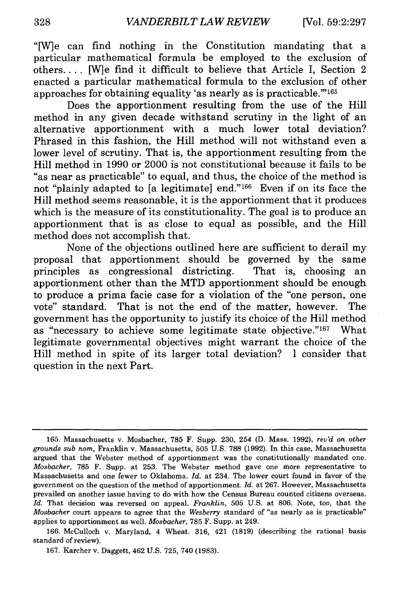"[W]e can find nothing in the Constitution mandating that a particular mathematical formula be employed to the exclusion of others.... [W]e find it difficult to believe that Article I, Section 2 enacted a particular mathematical formula to the exclusion of other approaches for obtaining equality 'as nearly as is practicable."<sup>165</sup>

Does the apportionment resulting from the use of the Hill method in any given decade withstand scrutiny in the light of an alternative apportionment with a much lower total deviation? Phrased in this fashion, the Hill method will not withstand even a lower level of scrutiny. That is, the apportionment resulting from the Hill method in 1990 or 2000 is not constitutional because it fails to be "as near as practicable" to equal, and thus, the choice of the method is not "plainly adapted to [a legitimate] end."166 Even if on its face the Hill method seems reasonable, it is the apportionment that it produces which is the measure of its constitutionality. The goal is to produce an apportionment that is as close to equal as possible, and the Hill method does not accomplish that.

None of the objections outlined here are sufficient to derail my proposal that apportionment should be governed by the same principles as congressional districting. That is, choosing an apportionment other than the MTD apportionment should be enough to produce a prima facie case for a violation of the "one person, one vote" standard. That is not the end of the matter, however. The government has the opportunity to justify its choice of the Hill method as "necessary to achieve some legitimate state objective."<sup>167</sup> What legitimate governmental objectives might warrant the choice of the Hill method in spite of its larger total deviation? I consider that question in the next Part.

<sup>165.</sup> Massachusetts v. Mosbacher, **785** F. Supp. 230, 254 (D. Mass. 1992), *rev'd on other grounds sub nom,* Franklin v. Massachusetts, 505 U.S. 788 (1992). In this case, Massachusetts argued that the Webster method of apportionment was the constitutionally mandated one. *Mosbacher,* 785 F. Supp. at 253. The Webster method gave one more representative to Massachusetts and one fewer to Oklahoma. *Id.* at 234. The lower court found in favor of the government on the question of the method of apportionment. *Id.* at 267. However, Massachusetts prevailed on another issue having to do with how the Census Bureau counted citizens overseas. *Id.* That decision was reversed on appeal. *Franklin,* 505 U.S. at 806. Note, too, that the *Mosbacher* court appears to agree that the *Wesberry* standard of "as nearly as is practicable" applies to apportionment as well. *Mosbacher,* 785 F. Supp. at 249.

<sup>166.</sup> McCulloch v. Maryland, 4 Wheat. 316, 421 (1819) (describing the rational basis standard of review).

<sup>167.</sup> Karcher v. Daggett, 462 U.S. 725, 740 (1983).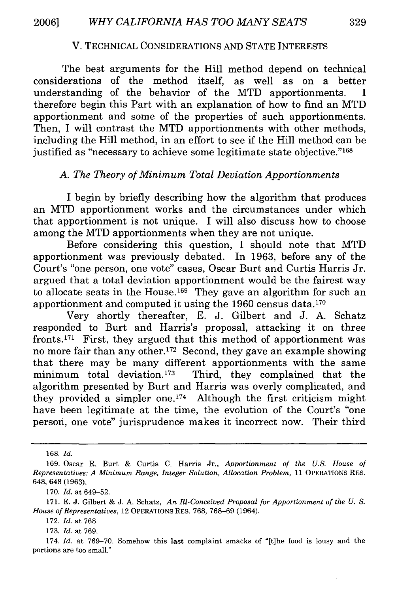#### V. TECHNICAL CONSIDERATIONS AND STATE INTERESTS

The best arguments for the Hill method depend on technical considerations of the method itself, as well as on a better understanding of the behavior of the MTD apportionments. I therefore begin this Part with an explanation of how to find an MTD apportionment and some of the properties of such apportionments. Then, I will contrast the MTD apportionments with other methods, including the Hill method, in an effort to see if the Hill method can be justified as "necessary to achieve some legitimate state objective."<sup>168</sup>

#### *A. The Theory of Minimum Total Deviation Apportionments*

I begin by briefly describing how the algorithm that produces an MTD apportionment works and the circumstances under which that apportionment is not unique. I will also discuss how to choose among the MTD apportionments when they are not unique.

Before considering this question, I should note that MTD apportionment was previously debated. In 1963, before any of the Court's "one person, one vote" cases, Oscar Burt and Curtis Harris Jr. argued that a total deviation apportionment would be the fairest way to allocate seats in the House.<sup>169</sup> They gave an algorithm for such an apportionment and computed it using the 1960 census data.170

Very shortly thereafter, E. J. Gilbert and J. A. Schatz responded to Burt and Harris's proposal, attacking it on three fronts. 171 First, they argued that this method of apportionment was no more fair than any other.<sup>172</sup> Second, they gave an example showing that there may be many different apportionments with the same minimum total deviation.173 Third, they complained that the algorithm presented by Burt and Harris was overly complicated, and they provided a simpler one.<sup>174</sup> Although the first criticism might have been legitimate at the time, the evolution of the Court's "one person, one vote" jurisprudence makes it incorrect now. Their third

168. *Id.*

170. *Id.* at 649-52.

171. E. J. Gilbert & J. A. Schatz, *An Ill-Conceived Proposal for Apportionment of the U. S. House of Representatives,* 12 OPERATIONS RES. 768, 768-69 (1964).

172. *Id.* at 768.

173. *Id.* at 769.

174. *Id.* at 769-70. Somehow this last complaint smacks of "[t]he food is lousy and the portions are too small."

<sup>169.</sup> Oscar R. Burt & Curtis C. Harris Jr., *Apportionment of the U.S. House of Representatives: A Minimum Range, Integer Solution, Allocation Problem,* 11 OPERATIONS RES. 648, 648 (1963).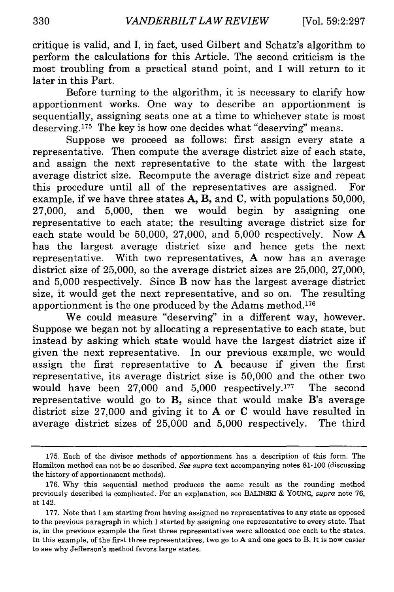critique is valid, and I, in fact, used Gilbert and Schatz's algorithm to perform the calculations for this Article. The second criticism is the most troubling from a practical stand point, and I will return to it later in this Part.

Before turning to the algorithm, it is necessary to clarify how apportionment works. One way to describe an apportionment is sequentially, assigning seats one at a time to whichever state is most deserving. 175 The key is how one decides what "deserving" means.

Suppose we proceed as follows: first assign every state a representative. Then compute the average district size of each state, and assign the next representative to the state with the largest average district size. Recompute the average district size and repeat this procedure until all of the representatives are assigned. For example, if we have three states A, B, and C, with populations 50,000, 27,000, and 5,000, then we would begin by assigning one representative to each state; the resulting average district size for each state would be 50,000, 27,000, and 5,000 respectively. Now A has the largest average district size and hence gets the next representative. With two representatives, A now has an average district size of 25,000, so the average district sizes are 25,000, 27,000, and 5,000 respectively. Since B now has the largest average district size, it would get the next representative, and so on. The resulting apportionment is the one produced by the Adams method.<sup>176</sup>

We could measure "deserving" in a different way, however. Suppose we began not by allocating a representative to each state, but instead by asking which state would have the largest district size if given the next representative. In our previous example, we would assign the first representative to A because if given the first representative, its average district size is 50,000 and the other two would have been 27,000 and 5,000 respectively.<sup>177</sup> The second representative would go to B, since that would make B's average district size 27,000 and giving it to A or C would have resulted in average district sizes of 25,000 and 5,000 respectively. The third

<sup>175.</sup> Each of the divisor methods of apportionment has a description of this form. The Hamilton method can not be so described. *See supra* text accompanying notes 81-100 (discussing the history of apportionment methods).

<sup>176.</sup> Why this sequential method produces the same result as the rounding method previously described is complicated. For an explanation, see BALINSKI & YOUNG, *supra* note 76, at 142.

<sup>177.</sup> Note that I am starting from having assigned no representatives to any state as opposed to the previous paragraph in which I started by assigning one representative to every state. That is, in the previous example the first three representatives were allocated one each to the states. In this example, of the first three representatives, two go to A and one goes to B. It is now easier to see why Jefferson's method favors large states.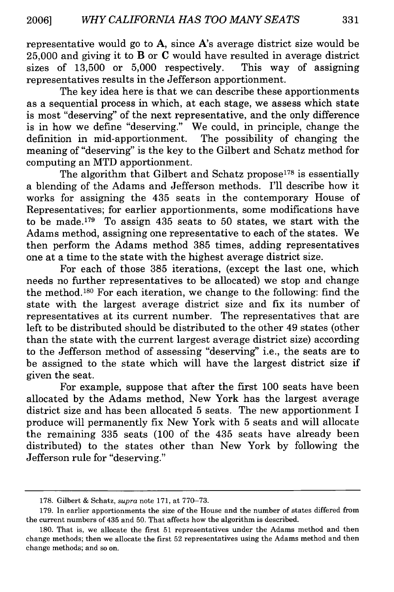representative would go to A, since A's average district size would be 25,000 and giving it to B or **C** would have resulted in average district sizes of 13,500 or 5,000 respectively. This way of assigning representatives results in the Jefferson apportionment.

The key idea here is that we can describe these apportionments as a sequential process in which, at each stage, we assess which state is most "deserving" of the next representative, and the only difference is in how we define "deserving." We could, in principle, change the definition in mid-apportionment. The possibility of changing the meaning of "deserving" is the key to the Gilbert and Schatz method for computing an MTD apportionment.

The algorithm that Gilbert and Schatz propose<sup>178</sup> is essentially a blending of the Adams and Jefferson methods. I'll describe how it works for assigning the 435 seats in the contemporary House of Representatives; for earlier apportionments, some modifications have to be made.<sup>179</sup> To assign 435 seats to 50 states, we start with the Adams method, assigning one representative to each of the states. We then perform the Adams method 385 times, adding representatives one at a time to the state with the highest average district size.

For each of those 385 iterations, (except the last one, which needs no further representatives to be allocated) we stop and change the method.180 For each iteration, we change to the following: find the state with the largest average district size and fix its number of representatives at its current number. The representatives that are left to be distributed should be distributed to the other 49 states (other than the state with the current largest average district size) according to the Jefferson method of assessing "deserving" i.e., the seats are to be assigned to the state which will have the largest district size if given the seat.

For example, suppose that after the first 100 seats have been allocated by the Adams method, New York has the largest average district size and has been allocated 5 seats. The new apportionment I produce will permanently fix New York with 5 seats and will allocate the remaining 335 seats (100 of the 435 seats have already been distributed) to the states other than New York by following the Jefferson rule for "deserving."

<sup>178.</sup> Gilbert & Schatz, *supra* note 171, at 770-73.

<sup>179.</sup> In earlier apportionments the size of the House and the number of states differed from the current numbers of 435 and 50. That affects how the algorithm is described.

<sup>180.</sup> That is, we allocate the first 51 representatives under the Adams method and then change methods; then we allocate the first 52 representatives using the Adams method and then change methods; and so on.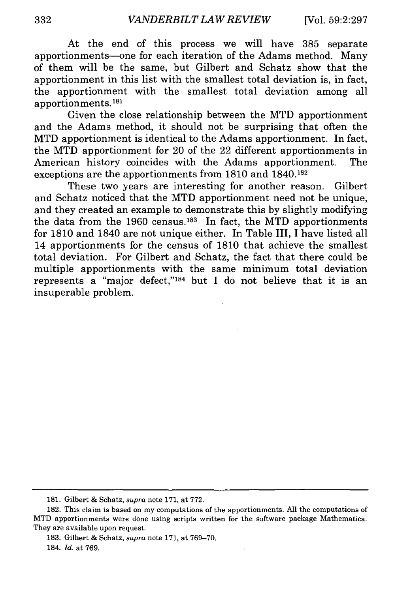At the end of this process we will have 385 separate apportionments-one for each iteration of the Adams method. Many of them will be the same, but Gilbert and Schatz show that the apportionment in this list with the smallest total deviation is, in fact, the apportionment with the smallest total deviation among all apportionments. <sup>181</sup>

Given the close relationship between the MTD apportionment and the Adams method, it should not be surprising that often the MTD apportionment is identical to the Adams apportionment. In fact, the MTD apportionment for 20 of the 22 different apportionments in American history coincides with the Adams apportionment. The exceptions are the apportionments from 1810 and 1840.182

These two years are interesting for another reason. Gilbert and Schatz noticed that the MTD apportionment need not be unique, and they created an example to demonstrate this by slightly modifying the data from the 1960 census.<sup>183</sup> In fact, the MTD apportionments for 1810 and 1840 are not unique either. In Table III, I have listed all 14 apportionments for the census of 1810 that achieve the smallest total deviation. For Gilbert and Schatz, the fact that there could be multiple apportionments with the same minimum total deviation represents a "major defect," $184$  but I do not believe that it is an insuperable problem.

<sup>181.</sup> Gilbert & Schatz, *supra* note 171, at 772.

<sup>182.</sup> This claim is based on my computations of the apportionments. All the computations of MTD apportionments were done using scripts written for the software package Mathematica. They are available upon request.

<sup>183.</sup> Gilbert & Schatz, *supra* note 171, at 769-70. 184. *Id.* at 769.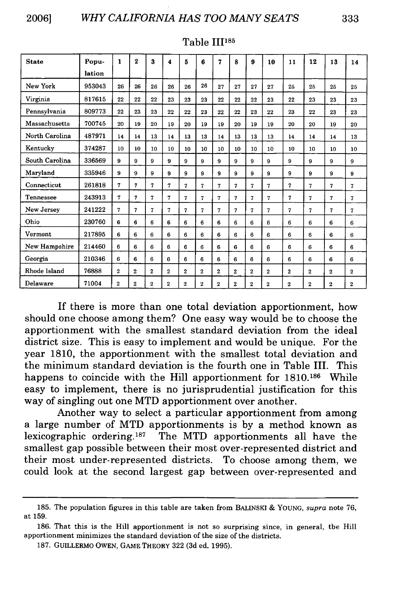| И | ٠<br>۰. | ٠ |
|---|---------|---|
|   |         |   |

| <b>State</b>   | Popu-  | 1            | $\mathbf 2$     | 3              | 4              | 5            | 6              | 7              | 8           | 9              | 10             | 11           | 12             | 13             | 14             |
|----------------|--------|--------------|-----------------|----------------|----------------|--------------|----------------|----------------|-------------|----------------|----------------|--------------|----------------|----------------|----------------|
|                | lation |              |                 |                |                |              |                |                |             |                |                |              |                |                |                |
| New York       | 953043 | 26           | 26              | 26             | 26             | 26           | 26             | 27             | 27          | 27             | 27             | 25           | 25             | 25             | 25             |
| Virginia       | 817615 | 22           | 22              | 22             | 23             | 23           | 23             | 22             | 22          | 22             | 23             | $^{22}$      | 23             | 23             | 23             |
| Pennsylvania   | 809773 | 22           | 23              | 23             | 22             | 22           | 23             | 22             | 22          | 23             | 22             | 23           | 22             | 23             | 23             |
| Massachusetts  | 700745 | 20           | 19              | 20             | 19             | 20           | 19             | 19             | 20          | 19             | 19             | 20           | 20             | 19             | 20             |
| North Carolina | 487971 | 14           | 14              | 13             | 14             | 13           | 13             | 14             | 13          | 13             | 13             | 14           | 14             | 14             | 13             |
| Kentucky       | 374287 | 10           | 10 <sup>2</sup> | 10             | 10             | 10           | 10             | 10             | 10          | 10             | 10             | 10           | 10             | 10             | 10             |
| South Carolina | 336569 | 9            | 9               | 9              | 9              | 9            | 9              | 9              | 9           | 9              | 9              | 9            | 9              | 9              | 9              |
| Marvland       | 335946 | 9            | 9               | 9              | 9              | 9            | 9              | 9              | 9           | 9              | 9              | 9            | 9              | 9              | 9              |
| Connecticut    | 261818 | 7            | 7               | $\mathbf{7}$   | 7              | 7            | 7              | 7              | 7           | 7              | $\mathbf{7}$   | 7            | 7              | 7              | 7              |
| Tennessee      | 243913 | 7            | 7               | 7              | 7              | 7            | 7              | 7              | 7           | 7              | 7              | 7            | 7              | 7              | 7              |
| New Jersey     | 241222 | 7            | 7               | 7              | 7              | 7            | 7              | 7              | 7           | $\overline{7}$ | $\overline{7}$ | 7            | $\overline{7}$ | 7              | 7              |
| Ohio           | 230760 | 6            | 6               | 6              | 6              | 6            | 6              | 6              | 6           | 6              | 6              | 6            | 6              | 6              | 6              |
| Vermont        | 217895 | 6            | 6               | 6              | 6              | 6            | 6              | 6              | 6           | 6              | 6              | 6            | 6              | 6              | 6              |
| New Hampshire  | 214460 | 6            | 6               | 6              | 6              | 6            | 6              | 6              | 6           | 6              | 6              | 6            | 6              | 6              | 6              |
| Georgia        | 210346 | 6            | 6               | 6              | 6              | 6            | 6              | 6              | 6           | 6              | 6              | 6            | 6              | 6              | 6              |
| Rhode Island   | 76888  | $\mathbf{2}$ | $\mathbf 2$     | $\mathbf{2}$   | $\overline{2}$ | $\mathbf 2$  | $\mathbf{2}$   | $\overline{2}$ | 2           | 2              | $\mathbf 2$    | $\mathbf{2}$ | $\mathbf{2}$   | 2              | $\overline{2}$ |
| Delaware       | 71004  | $\mathbf{2}$ | $\mathbf 2$     | $\overline{2}$ | $\mathbf{z}$   | $\mathbf{2}$ | $\overline{2}$ | $\mathbf{2}$   | $\mathbf 2$ | 2              | $\mathbf{2}$   | $\mathbf{2}$ | $\overline{2}$ | $\overline{2}$ | $\mathbf 2$    |

#### Table III<sup>185</sup>

If there is more than one total deviation apportionment, how should one choose among them? One easy way would be to choose the apportionment with the smallest standard deviation from the ideal district size. This is easy to implement and would be unique. For the year **1810,** the apportionment with the smallest total deviation and the minimum standard deviation is the fourth one in Table III. This happens to coincide with the Hill apportionment for **1810.186** While easy to implement, there is no jurisprudential justification for this way of singling out one MTD apportionment over another.

Another way to select a particular apportionment from among a large number of MTD apportionments is **by** a method known as lexicographic ordering. 187 The MTD apportionments all have the smallest gap possible between their most over-represented district and their most under-represented districts. To choose among them, we could look at the second largest gap between over-represented and

<sup>185.</sup> The population figures in this table are taken from BALINSKI & YOUNG, *supra* note 76, at 159.

**<sup>186.</sup>** That this is the Hill apportionment is not so surprising since, in general, the Hill apportionment minimizes the standard deviation of the size of the districts.

<sup>187.</sup> GUILLERMO OWEN, GAME THEORY 322 (3d ed. 1995).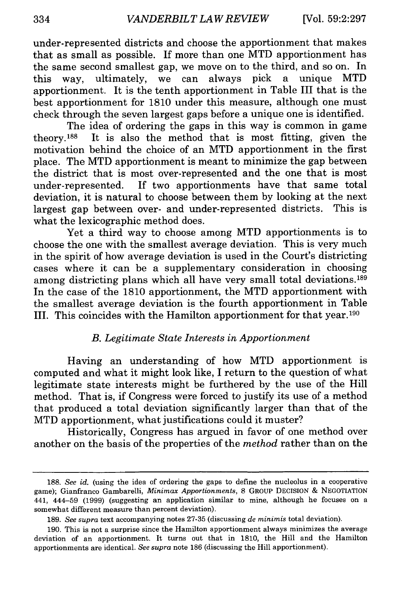under-represented districts and choose the apportionment that makes that as small as possible. If more than one MTD apportionment has the same second smallest gap, we move on to the third, and so on. In this way, ultimately, we can always pick a unique MTD apportionment. It is the tenth apportionment in Table III that is the best apportionment for 1810 under this measure, although one must check through the seven largest gaps before a unique one is identified.

The idea of ordering the gaps in this way is common in game theory.1 88 It is also the method that is most fitting, given the motivation behind the choice of an MTD apportionment in the first place. The MTD apportionment is meant to minimize the gap between the district that is most over-represented and the one that is most under-represented. If two apportionments have that same total deviation, it is natural to choose between them by looking at the next largest gap between over- and under-represented districts. This is what the lexicographic method does.

Yet a third way to choose among MTD apportionments is to choose the one with the smallest average deviation. This is very much in the spirit of how average deviation is used in the Court's districting cases where it can be a supplementary consideration in choosing among districting plans which all have very small total deviations.<sup>189</sup> In the case of the 1810 apportionment, the MTD apportionment with the smallest average deviation is the fourth apportionment in Table III. This coincides with the Hamilton apportionment for that year. <sup>190</sup>

### *B. Legitimate State Interests in Apportionment*

Having an understanding of how MTD apportionment is computed and what it might look like, I return to the question of what legitimate state interests might be furthered by the use of the Hill method. That is, if Congress were forced to justify its use of a method that produced a total deviation significantly larger than that of the MTD apportionment, what justifications could it muster?

Historically, Congress has argued in favor of one method over another on the basis of the properties of the *method* rather than on the

<sup>188.</sup> *See id.* (using the idea of ordering the gaps to define the nucleolus in a cooperative game); Gianfranco Gambarelli, *Minimax Apportionments,* 8 GROUP DECISION & NEGOTIATION 441, 444-59 (1999) (suggesting an application similar to mine, although he focuses on a somewhat different measure than percent deviation).

<sup>189.</sup> *See supra* text accompanying notes 27-35 (discussing *de minimis* total deviation).

<sup>190.</sup> This is not a surprise since the Hamilton apportionment always minimizes the average deviation of an apportionment. It turns out that in 1810, the Hill and the Hamilton apportionments are identical. *See supra* note 186 (discussing the Hill apportionment).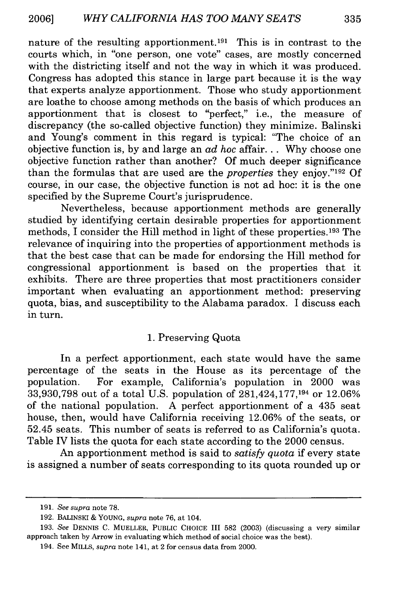nature of the resulting apportionment.<sup>191</sup> This is in contrast to the courts which, in "one person, one vote" cases, are mostly concerned with the districting itself and not the way in which it was produced. Congress has adopted this stance in large part because it is the way that experts analyze apportionment. Those who study apportionment are loathe to choose among methods on the basis of which produces an apportionment that is closest to "perfect," i.e., the measure of discrepancy (the so-called objective function) they minimize. Balinski and Young's comment in this regard is typical: "The choice of an objective function is, by and large an *ad hoc* affair... Why choose one objective function rather than another? Of much deeper significance than the formulas that are used are the *properties* they enjoy."'192 Of course, in our case, the objective function is not ad hoc: it is the one specified by the Supreme Court's jurisprudence.

Nevertheless, because apportionment methods are generally studied by identifying certain desirable properties for apportionment methods, I consider the Hill method in light of these properties. 193 The relevance of inquiring into the properties of apportionment methods is that the best case that can be made for endorsing the Hill method for congressional apportionment is based on the properties that it exhibits. There are three properties that most practitioners consider important when evaluating an apportionment method: preserving quota, bias, and susceptibility to the Alabama paradox. I discuss each in turn.

#### 1. Preserving Quota

In a perfect apportionment, each state would have the same percentage of the seats in the House as its percentage of the population. For example, California's population in 2000 was 33,930,798 out of a total U.S. population of 281,424,177,194 or 12.06% of the national population. A perfect apportionment of a 435 seat house, then, would have California receiving 12.06% of the seats, or 52.45 seats. This number of seats is referred to as California's quota. Table IV lists the quota for each state according to the 2000 census.

An apportionment method is said to *satisfy quota* if every state is assigned a number of seats corresponding to its quota rounded up or

**<sup>191.</sup>** *See supra* note 78.

**<sup>192.</sup>** BALINSKI & **YOUNG,** *supra* note 76, at 104.

**<sup>193.</sup>** *See* **DENNIS** C. MUELLER, **PUBLIC CHOICE III 582 (2003)** (discussing a very similar approach taken by Arrow in evaluating which method of social choice was the best).

<sup>194.</sup> See MILLS, *supra* note 141, at 2 for census data from 2000.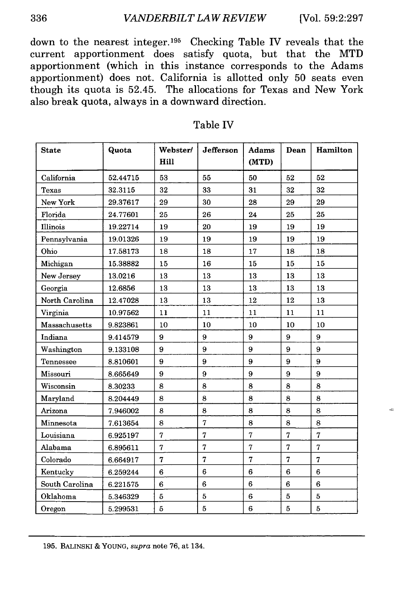#### *VANDERBILT LAW REVIEW* [Vol. **59:2:297**

down to the nearest integer. 195 Checking Table IV reveals that the current apportionment does satisfy quota, but that the MTD apportionment (which in this instance corresponds to the Adams apportionment) does not. California is allotted only 50 seats even though its quota is 52.45. The allocations for Texas and New York also break quota, always in a downward direction.

| <b>State</b>   | Quota    | Webster/<br>Hill | Jefferson      | <b>Adams</b><br>(MTD) | Dean           | Hamilton       |
|----------------|----------|------------------|----------------|-----------------------|----------------|----------------|
| California     | 52.44715 | 53               | 55             | 50                    | 52             | 52             |
| Texas          | 32.3115  | 32               | 33             | 31                    | 32             | 32             |
| New York       | 29.37617 | 29               | 30             | 28                    | 29             | 29             |
| Florida        | 24.77601 | 25               | 26             | 24                    | 25             | 25             |
| Illinois       | 19.22714 | 19               | 20             | 19                    | 19             | 19             |
| Pennsylvania   | 19.01326 | 19               | 19             | 19                    | 19             | 19             |
| Ohio           | 17.58173 | 18               | 18             | 17                    | 18             | 18             |
| Michigan       | 15.38882 | 15               | 16             | 15                    | 15             | 15             |
| New Jersey     | 13.0216  | 13               | 13             | 13                    | $13\,$         | 13             |
| Georgia        | 12.6856  | 13               | 13             | 13                    | 13             | 13             |
| North Carolina | 12.47028 | 13               | 13             | 12                    | 12             | 13             |
| Virginia       | 10.97562 | 11               | 11             | 11                    | 11             | 11             |
| Massachusetts  | 9.823861 | 10               | 10             | 10                    | 10             | 10             |
| Indiana        | 9.414579 | 9                | 9              | 9                     | 9              | 9              |
| Washington     | 9.133108 | 9                | 9              | 9                     | 9              | 9              |
| Tennessee      | 8.810601 | 9                | 9              | 9                     | 9              | 9              |
| Missouri       | 8.665649 | 9                | 9              | 9                     | 9              | 9              |
| Wisconsin      | 8.30233  | 8                | 8              | 8                     | 8              | 8              |
| Maryland       | 8.204449 | 8                | 8              | 8                     | 8              | 8              |
| Arizona        | 7.946002 | 8                | 8              | 8                     | 8              | 8              |
| Minnesota      | 7.613654 | 8                | $\overline{7}$ | 8                     | 8              | 8              |
| Louisiana      | 6.925197 | $\overline{7}$   | $\overline{7}$ | $\overline{7}$        | $\overline{7}$ | $\overline{7}$ |
| Alabama        | 6.895611 | 7                | 7              | 7                     | 7              | $\overline{7}$ |
| Colorado       | 6.664917 | $\overline{7}$   | 7              | 7                     | $\overline{7}$ | $\overline{7}$ |
| Kentucky       | 6.259244 | 6                | 6              | 6                     | 6              | 6              |
| South Carolina | 6.221575 | 6                | 6              | 6                     | 6              | 6              |
| Oklahoma       | 5.346329 | 5                | 5              | 6                     | 5              | 5              |
| Oregon         | 5.299531 | $\overline{5}$   | $\overline{5}$ | 6                     | $\overline{5}$ | $\overline{5}$ |

#### Table IV

336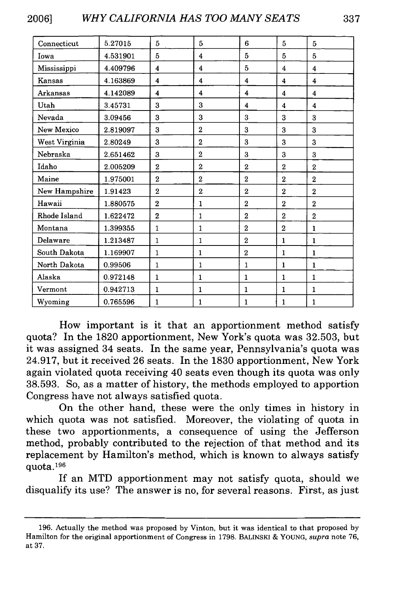| Connecticut   | 5.27015  | 5              | 5              | 6                   | 5                   | 5                       |
|---------------|----------|----------------|----------------|---------------------|---------------------|-------------------------|
| Iowa          | 4.531901 | 5              | 4              | 5                   | 5                   | 5                       |
| Mississippi   | 4.409796 | 4              | 4              | 5                   | 4                   | 4                       |
| Kansas        | 4.163869 | 4              | 4              | 4                   | 4                   | $\overline{\mathbf{4}}$ |
| Arkansas      | 4.142089 | 4              | 4              | 4                   | 4                   | $\overline{\mathbf{4}}$ |
| Utah          | 3.45731  | 3              | 3              | $\overline{\bf{4}}$ | $\overline{\bf{4}}$ | 4                       |
| Nevada        | 3.09456  | 3              | 3              | 3                   | 3                   | 3                       |
| New Mexico    | 2.819097 | 3              | $\overline{2}$ | 3                   | 3                   | 3                       |
| West Virginia | 2.80249  | 3              | $\overline{2}$ | 3                   | 3                   | 3                       |
| Nebraska      | 2.651462 | 3              | $\overline{2}$ | 3                   | 3                   | 3                       |
| Idaho         | 2.005209 | $\overline{2}$ | $\overline{2}$ | $\overline{2}$      | $\overline{2}$      | $\overline{2}$          |
| Maine         | 1.975001 | $\overline{2}$ | $\overline{2}$ | $\overline{2}$      | $\overline{2}$      | $\overline{2}$          |
| New Hampshire | 1.91423  | $\overline{2}$ | $\overline{2}$ | $\overline{2}$      | $\overline{2}$      | $\overline{2}$          |
| Hawaii        | 1.880575 | $\overline{2}$ | $\mathbf{1}$   | $\mathbf{2}$        | $\overline{2}$      | $\overline{2}$          |
| Rhode Island  | 1.622472 | $\overline{2}$ | 1              | $\overline{2}$      | $\overline{2}$      | $\overline{2}$          |
| Montana       | 1.399355 | 1              | 1              | $\overline{2}$      | $\boldsymbol{2}$    | 1                       |
| Delaware      | 1.213487 | $\mathbf{1}$   | 1              | $\overline{2}$      | $\mathbf{1}$        | $\mathbf{1}$            |
| South Dakota  | 1.169907 | $\mathbf{1}$   | 1              | $\overline{2}$      | $\mathbf{1}$        | $\mathbf{1}$            |
| North Dakota  | 0.99506  | 1              | 1              | $\mathbf{1}$        | $\mathbf{1}$        | 1                       |
| Alaska        | 0.972148 | 1              | $\mathbf{1}$   | 1                   | $\mathbf{1}$        | $\mathbf{1}$            |
| Vermont       | 0.942713 | $\mathbf{1}$   | $\mathbf{1}$   | $\mathbf{1}$        | $\mathbf{1}$        | $\mathbf{1}$            |
| Wyoming       | 0.765596 | 1              | 1              | 1                   | 1                   | 1                       |

How important is it that an apportionment method satisfy quota? In the 1820 apportionment, New York's quota was 32.503, but it was assigned 34 seats. In the same year, Pennsylvania's quota was 24.917, but it received 26 seats. In the 1830 apportionment, New York again violated quota receiving 40 seats even though its quota was only 38.593. So, as a matter of history, the methods employed to apportion Congress have not always satisfied quota.

On the other hand, these were the only times in history in which quota was not satisfied. Moreover, the violating of quota in these two apportionments, a consequence of using the Jefferson method, probably contributed to the rejection of that method and its replacement by Hamilton's method, which is known to always satisfy quota.<sup>196</sup>

If an MTD apportionment may not satisfy quota, should we disqualify its use? The answer is no, for several reasons. First, as just

<sup>196.</sup> Actually the method was proposed by Vinton, but it was identical to that proposed by Hamilton for the original apportionment of Congress in 1798. BALINSKI & YOUNG, *supra* note 76, at 37.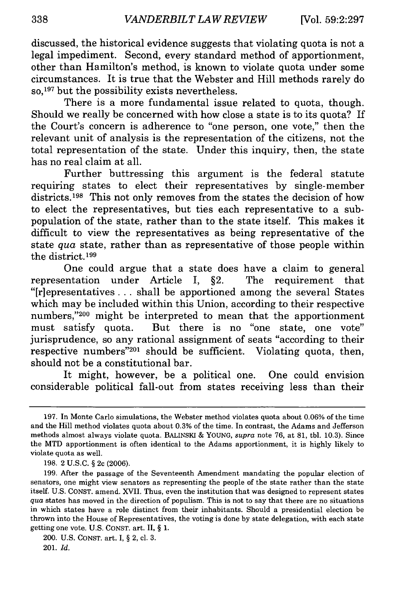discussed, the historical evidence suggests that violating quota is not a legal impediment. Second, every standard method of apportionment, other than Hamilton's method, is known to violate quota under some circumstances. It is true that the Webster and Hill methods rarely do so, 197 but the possibility exists nevertheless.

There is a more fundamental issue related to quota, though. Should we really be concerned with how close a state is to its quota? If the Court's concern is adherence to "one person, one vote," then the relevant unit of analysis is the representation of the citizens, not the total representation of the state. Under this inquiry, then, the state has no real claim at all.

Further buttressing this argument is the federal statute requiring states to elect their representatives by single-member districts.<sup>198</sup> This not only removes from the states the decision of how to elect the representatives, but ties each representative to a subpopulation of the state, rather than to the state itself. This makes it difficult to view the representatives as being representative of the state *qua* state, rather than as representative of those people within the district.<sup>199</sup>

One could argue that a state does have a claim to general representation under Article I, §2. The requirement that "[riepresentatives **...** shall be apportioned among the several States which may be included within this Union, according to their respective numbers,"200 might be interpreted to mean that the apportionment must satisfy quota. But there is no "one state, one vote" jurisprudence, so any rational assignment of seats "according to their respective numbers<sup>"201</sup> should be sufficient. Violating quota, then, should not be a constitutional bar.

It might, however, be a political one. One could envision considerable political fall-out from states receiving less than their

<sup>197.</sup> In Monte Carlo simulations, the Webster method violates quota about 0.06% of the time and the Hill method violates quota about 0.3% of the time. In contrast, the Adams and Jefferson methods almost always violate quota. BALINSKI & YOUNG, *supra* note 76, at 81, tbl. 10.3). Since the MTD apportionment is often identical to the Adams apportionment, it is highly likely to violate quota as well.

<sup>198. 2</sup> U.S.C. § 2c (2006).

<sup>199.</sup> After the passage of the Seventeenth Amendment mandating the popular election of senators, one might view senators as representing the people of the state rather than the state itself. U.S. CONST. amend. XVII. Thus, even the institution that was designed to represent states *qua* states has moved in the direction of populism. This is not to say that there are no situations in which states have a role distinct from their inhabitants. Should a presidential election be thrown into the House of Representatives, the voting is done by state delegation, with each state getting one vote. U.S. CONST. art. II, § 1.

<sup>200.</sup> U.S. CONST. art. I, § 2, cl. 3. 201. *Id.*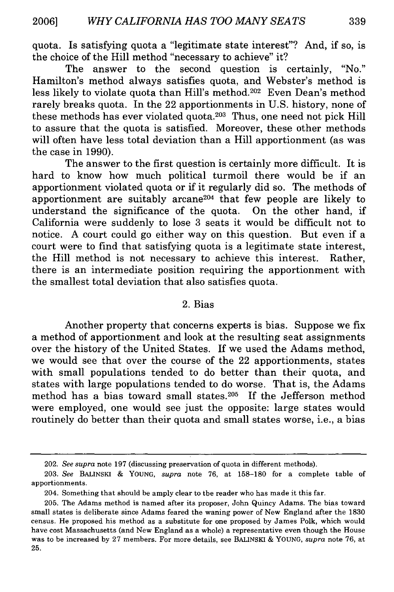quota. Is satisfying quota a "legitimate state interest"? And, if so, is the choice of the Hill method "necessary to achieve" it?

The answer to the second question is certainly, "No." Hamilton's method always satisfies quota, and Webster's method is less likely to violate quota than Hill's method.<sup>202</sup> Even Dean's method rarely breaks quota. In the 22 apportionments in U.S. history, none of these methods has ever violated quota.<sup>203</sup> Thus, one need not pick Hill to assure that the quota is satisfied. Moreover, these other methods will often have less total deviation than a Hill apportionment (as was the case in 1990).

The answer to the first question is certainly more difficult. It is hard to know how much political turmoil there would be if an apportionment violated quota or if it regularly did so. The methods of apportionment are suitably arcane<sup>204</sup> that few people are likely to understand the significance of the quota. On the other hand, if California were suddenly to lose 3 seats it would be difficult not to notice. A court could go either way on this question. But even if a court were to find that satisfying quota is a legitimate state interest, the Hill method is not necessary to achieve this interest. Rather, there is an intermediate position requiring the apportionment with the smallest total deviation that also satisfies quota.

#### 2. Bias

Another property that concerns experts is bias. Suppose we fix a method of apportionment and look at the resulting seat assignments over the history of the United States. If we used the Adams method, we would see that over the course of the 22 apportionments, states with small populations tended to do better than their quota, and states with large populations tended to do worse. That is, the Adams method has a bias toward small states.<sup>205</sup> If the Jefferson method were employed, one would see just the opposite: large states would routinely do better than their quota and small states worse, i.e., a bias

<sup>202.</sup> *See supra* note 197 (discussing preservation of quota in different methods).

<sup>203.</sup> *See* BALINSKI & **YOUNG,** *supra* note 76, at 158-180 for a complete table of apportionments.

<sup>204.</sup> Something that should be amply clear to the reader who has made it this far.

<sup>205.</sup> The Adams method is named after its proposer, John Quincy Adams. The bias toward small states is deliberate since Adams feared the waning power of New England after the 1830 census. He proposed his method as a substitute for one proposed by James Polk, which would have cost Massachusetts (and New England as a whole) a representative even though the House was to be increased by 27 members. For more details, see BALINSKI & **YOUNG,** *supra* note 76, at **25.**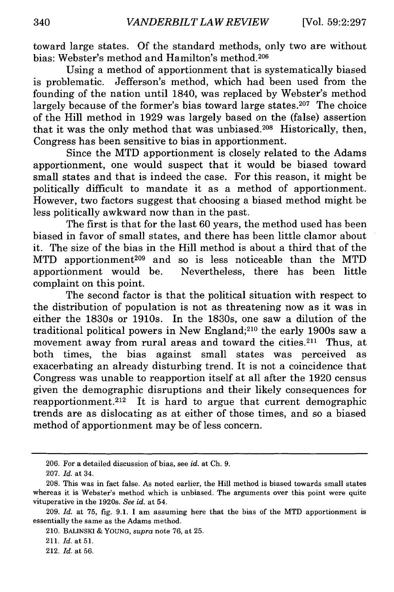toward large states. Of the standard methods, only two are without bias: Webster's method and Hamilton's method.<sup>206</sup>

Using a method of apportionment that is systematically biased is problematic. Jefferson's method, which had been used from the founding of the nation until 1840, was replaced by Webster's method largely because of the former's bias toward large states.<sup>207</sup> The choice of the Hill method in 1929 was largely based on the (false) assertion that it was the only method that was unbiased.208 Historically, then, Congress has been sensitive to bias in apportionment.

Since the MTD apportionment is closely related to the Adams apportionment, one would suspect that it would be biased toward small states and that is indeed the case. For this reason, it might be politically difficult to mandate it as a method of apportionment. However, two factors suggest that choosing a biased method might be less politically awkward now than in the past.

The first is that for the last 60 years, the method used has been biased in favor of small states, and there has been little clamor about it. The size of the bias in the Hill method is about a third that of the MTD apportionment<sup>209</sup> and so is less noticeable than the MTD apportionment would be. Nevertheless, there has been little complaint on this point.

The second factor is that the political situation with respect to the distribution of population is not as threatening now as it was in either the 1830s or 1910s. In the 1830s, one saw a dilution of the traditional political powers in New England;210 the early 1900s saw a movement away from rural areas and toward the cities. 211 Thus, at both times, the bias against small states was perceived as exacerbating an already disturbing trend. It is not a coincidence that Congress was unable to reapportion itself at all after the 1920 census given the demographic disruptions and their likely consequences for reapportionment.<sup>212</sup> It is hard to argue that current demographic trends are as dislocating as at either of those times, and so a biased method of apportionment may be of less concern.

<sup>206.</sup> For a detailed discussion of bias, see *id.* at Ch. 9.

<sup>207.</sup> *Id.* at 34.

<sup>208.</sup> This was in fact false. As noted earlier, the Hill method is biased towards small states whereas it is Webster's method which is unbiased. The arguments over this point were quite vituperative in the 1920s. *See id.* at 54.

<sup>209.</sup> *Id.* at 75, fig. 9.1. I am assuming here that the bias of the MTD apportionment is essentially the same as the Adams method.

<sup>210.</sup> BALINSKI & YOUNG, *supra* note 76, at 25.

<sup>211.</sup> *Id.* at 51.

<sup>212.</sup> *Id.* at 56.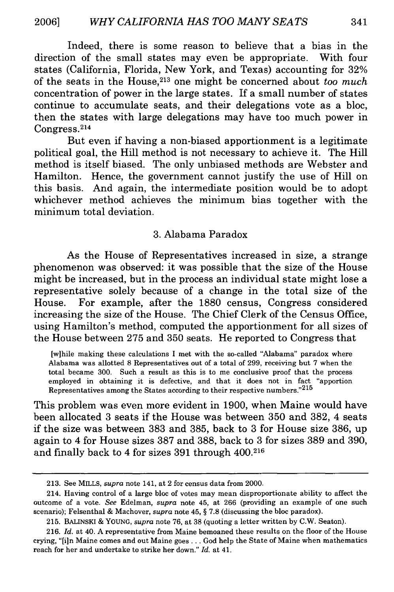Indeed, there is some reason to believe that a bias in the direction of the small states may even be appropriate. With four states (California, Florida, New York, and Texas) accounting for 32% of the seats in the House, 213 one might be concerned about *too much* concentration of power in the large states. If a small number of states continue to accumulate seats, and their delegations vote as a bloc, then the states with large delegations may have too much power in Congress.<sup>214</sup>

But even if having a non-biased apportionment is a legitimate political goal, the Hill method is not necessary to achieve it. The Hill method is itself biased. The only unbiased methods are Webster and Hamilton. Hence, the government cannot justify the use of Hill on this basis. And again, the intermediate position would be to adopt whichever method achieves the minimum bias together with the minimum total deviation.

#### 3. Alabama Paradox

As the House of Representatives increased in size, a strange phenomenon was observed: it was possible that the size of the House might be increased, but in the process an individual state might lose a representative solely because of a change in the total size of the House. For example, after the 1880 census, Congress considered increasing the size of the House. The Chief Clerk of the Census Office, using Hamilton's method, computed the apportionment for all sizes of the House between 275 and 350 seats. He reported to Congress that

[wihile making these calculations I met with the so-called "Alabama" paradox where Alabama was allotted 8 Representatives out of a total of 299, receiving but 7 when the total became 300. Such a result as this is to me conclusive proof that the process employed in obtaining it is defective, and that it does not in fact "apportion Representatives among the States according to their respective numbers."<sup>215</sup>

This problem was even more evident in 1900, when Maine would have been allocated 3 seats if the House was between 350 and 382, 4 seats if the size was between 383 and 385, back to 3 for House size 386, up again to 4 for House sizes 387 and 388, back to 3 for sizes 389 and 390, and finally back to 4 for sizes 391 through 400.216

<sup>213.</sup> See MILLS, *supra* note 141, at 2 for census data from 2000.

<sup>214.</sup> Having control of a large bloc of votes may mean disproportionate ability to affect the outcome of a vote. *See* Edelman, *supra* note 45, at 266 (providing an example of one such scenario); Felsenthal & Machover, *supra* note 45, § **7.8** (discussing the bloc paradox).

<sup>215.</sup> BALINSKI & YOUNG, *supra* note 76, at 38 (quoting a letter written by C.W. Seaton).

<sup>216.</sup> *Id.* at 40. A representative from Maine bemoaned these results on the floor of the House crying, "[i]n Maine comes and out Maine goes . . . God help the State of Maine when mathematics reach for her and undertake to strike her down." *Id.* at 41.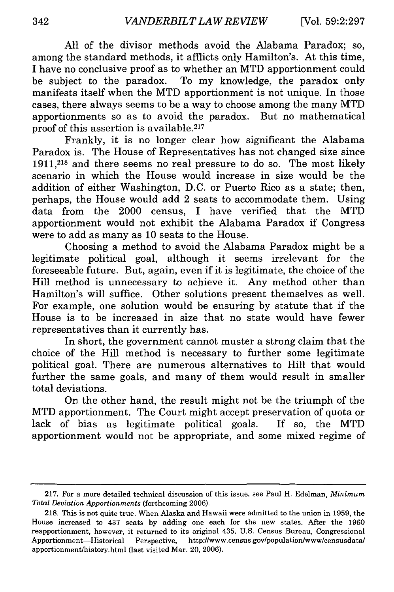All of the divisor methods avoid the Alabama Paradox; so, among the standard methods, it afflicts only Hamilton's. At this time, I have no conclusive proof as to whether an MTD apportionment could be subject to the paradox. To my knowledge, the paradox only manifests itself when the MTD apportionment is not unique. In those cases, there always seems to be a way to choose among the many MTD apportionments so as to avoid the paradox. But no mathematical proof of this assertion is available.217

Frankly, it is no longer clear how significant the Alabama Paradox is. The House of Representatives has not changed size since 1911,218 and there seems no real pressure to do so. The most likely scenario in which the House would increase in size would be the addition of either Washington, D.C. or Puerto Rico as a state; then, perhaps, the House would add 2 seats to accommodate them. Using data from the 2000 census, I have verified that the MTD apportionment would not exhibit the Alabama Paradox if Congress were to add as many as 10 seats to the House.

Choosing a method to avoid the Alabama Paradox might be a legitimate political goal, although it seems irrelevant for the foreseeable future. But, again, even if it is legitimate, the choice of the Hill method is unnecessary to achieve it. Any method other than Hamilton's will suffice. Other solutions present themselves as well. For example, one solution would be ensuring by statute that if the House is to be increased in size that no state would have fewer representatives than it currently has.

In short, the government cannot muster a strong claim that the choice of the Hill method is necessary to further some legitimate political goal. There are numerous alternatives to Hill that would further the same goals, and many of them would result in smaller total deviations.

On the other hand, the result might not be the triumph of the MTD apportionment. The Court might accept preservation of quota or lack of bias as legitimate political goals. If so, the MTD apportionment would not be appropriate, and some mixed regime of

<sup>217.</sup> For a more detailed technical discussion of this issue, see Paul H. Edelman, *Minimum Total Deviation Apportionments* (forthcoming 2006).

<sup>218.</sup> This is not quite true. When Alaska and Hawaii were admitted to the union in 1959, the House increased to 437 seats by adding one each for the new states. After the 1960 reapportionment, however, it returned to its original 435. U.S. Census Bureau, Congressional Apportionment-Historical Perspective, http://www.census.gov/population/www/censusdata/ apportionment/history.html (last visited Mar. 20, 2006).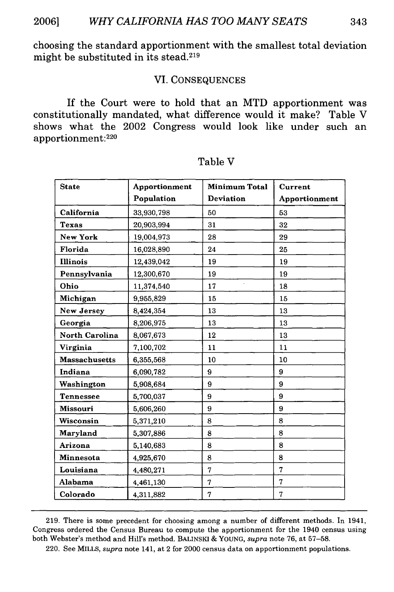choosing the standard apportionment with the smallest total deviation might be substituted in its stead.219

#### VI. CONSEQUENCES

If the Court were to hold that an MTD apportionment was constitutionally mandated, what difference would it make? Table V shows what the 2002 Congress would look like under such an apportionment:<sup>220</sup>

| <b>State</b>          | Apportionment | <b>Minimum Total</b> | Current       |
|-----------------------|---------------|----------------------|---------------|
|                       | Population    | <b>Deviation</b>     | Apportionment |
| California            | 33,930,798    | 50                   | 53            |
| <b>Texas</b>          | 20,903,994    | 31                   | 32            |
| New York              | 19,004,973    | 28                   | 29            |
| Florida               | 16,028,890    | 24                   | 25            |
| <b>Illinois</b>       | 12,439,042    | 19                   | 19            |
| Pennsylvania          | 12,300,670    | 19                   | 19            |
| Ohio                  | 11,374,540    | 17                   | 18            |
| Michigan              | 9,955,829     | 15                   | 15            |
| New Jersey            | 8,424,354     | 13                   | 13            |
| Georgia               | 8,206,975     | 13                   | 13            |
| <b>North Carolina</b> | 8,067,673     | 12                   | 13            |
| Virginia              | 7,100,702     | 11                   | 11            |
| <b>Massachusetts</b>  | 6,355,568     | 10                   | 10            |
| Indiana               | 6,090,782     | 9                    | 9             |
| Washington            | 5,908,684     | 9                    | 9             |
| <b>Tennessee</b>      | 5,700,037     | 9                    | 9             |
| <b>Missouri</b>       | 5,606,260     | 9                    | 9             |
| Wisconsin             | 5,371,210     | 8                    | 8             |
| Maryland              | 5,307,886     | 8                    | 8             |
| Arizona               | 5,140,683     | 8                    | 8             |
| <b>Minnesota</b>      | 4,925,670     | 8                    | 8             |
| Louisiana             | 4,480,271     | 7                    | 7             |
| Alabama               | 4,461,130     | 7                    | 7             |
| Colorado              | 4,311,882     | 7                    | 7             |

| 'able |  |
|-------|--|
|-------|--|

**219.** There is some precedent for choosing among a number of different methods. In 1941, Congress ordered the Census Bureau to compute the apportionment for the 1940 census using both Webster's method and Hill's method. BALINSKI **& YOUNG,** *supra* note **76,** at **57-58.**

220. See MILLS, *supra* note 141, at 2 for 2000 census data on apportionment populations.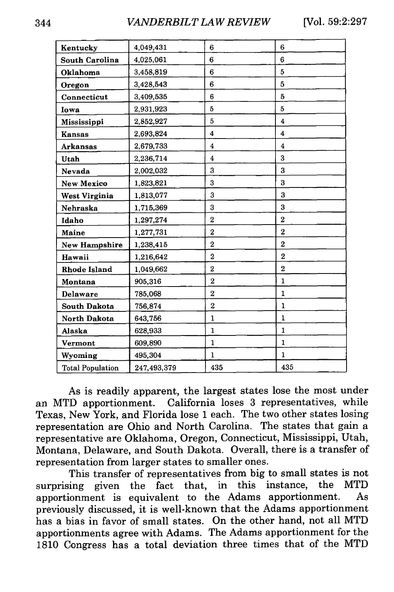| Kentucky                | 4,049,431   | 6                   | 6                  |
|-------------------------|-------------|---------------------|--------------------|
| <b>South Carolina</b>   | 4,025,061   | 6                   | 6                  |
| Oklahoma                | 3,458,819   | 6                   | 5                  |
| Oregon                  | 3,428,543   | 6                   | 5                  |
| Connecticut             | 3,409,535   | 6                   | 5                  |
| Iowa                    | 2,931,923   | 5                   | 5                  |
| Mississippi             | 2,852,927   | 5                   | $\overline{\bf 4}$ |
| <b>Kansas</b>           | 2,693,824   | $\boldsymbol{4}$    | $\overline{\bf 4}$ |
| <b>Arkansas</b>         | 2,679,733   | $\overline{\bf{4}}$ | $\overline{\bf 4}$ |
| Utah                    | 2,236,714   | 4                   | 3                  |
| Nevada                  | 2,002,032   | 3                   | 3                  |
| <b>New Mexico</b>       | 1,823,821   | 3                   | 3                  |
| West Virginia           | 1,813,077   | 3                   | 3                  |
| Nehraska                | 1,715,369   | 3                   | 3                  |
| Idaho                   | 1,297,274   | 2                   | $\overline{2}$     |
| Maine                   | 1,277,731   | $\overline{2}$      | $\overline{2}$     |
| <b>New Hampshire</b>    | 1,238,415   | $\overline{2}$      | $\boldsymbol{2}$   |
| Hawaii                  | 1,216,642   | $\overline{2}$      | $\overline{2}$     |
| Rhode Island            | 1,049,662   | $\boldsymbol{2}$    | $\overline{2}$     |
| Montana                 | 905,316     | $\overline{2}$      | $\mathbf{1}$       |
| <b>Delaware</b>         | 785,068     | $\overline{2}$      | $\mathbf{1}$       |
| <b>South Dakota</b>     | 756,874     | $\overline{2}$      | $\mathbf{1}$       |
| North Dakota            | 643,756     | $\mathbf{1}$        | $\mathbf{1}$       |
| Alaska                  | 628,933     | $\mathbf{1}$        | $\mathbf{1}$       |
| Vermont                 | 609,890     | 1                   | $\mathbf{1}$       |
| Wyoming                 | 495,304     | $\mathbf{1}$        | $\mathbf{1}$       |
| <b>Total Population</b> | 247,493,379 | 435                 | 435                |

As is readily apparent, the largest states lose the most under an MTD apportionment. California loses 3 representatives, while Texas, New York, and Florida lose **1** each. The two other states losing representation are Ohio and North Carolina. The states that gain a representative are Oklahoma, Oregon, Connecticut, Mississippi, Utah, Montana, Delaware, and South Dakota. Overall, there is a transfer of representation from larger states to smaller ones.

This transfer of representatives from big to small states is not surprising given the fact that, in this instance, the MTD apportionment is equivalent to the Adams apportionment. As previously discussed, it is well-known that the Adams apportionment has a bias in favor of small states. On the other hand, not all MTD apportionments agree with Adams. The Adams apportionment for the **1810** Congress has a total deviation three times that of the MTD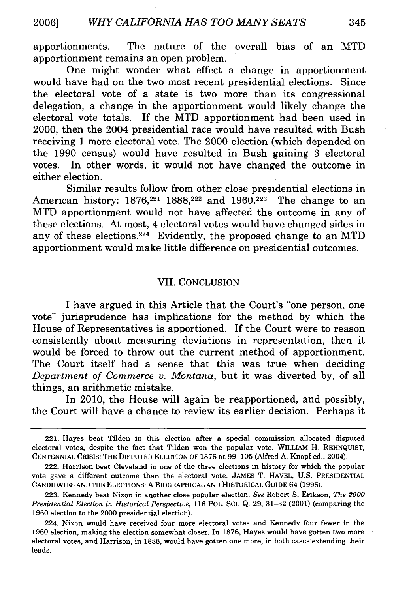apportionments. The nature of the overall bias of an MTD apportionment remains an open problem.

One might wonder what effect a change in apportionment would have had on the two most recent presidential elections. Since the electoral vote of a state is two more than its congressional delegation, a change in the apportionment would likely change the electoral vote totals. If the MTD apportionment had been used in 2000, then the 2004 presidential race would have resulted with Bush receiving 1 more electoral vote. The 2000 election (which depended on the 1990 census) would have resulted in Bush gaining 3 electoral votes. In other words, it would not have changed the outcome in either election.

Similar results follow from other close presidential elections in American history: 1876,<sup>221</sup> 1888,<sup>222</sup> and 1960.<sup>223</sup> The change to an MTD apportionment would not have affected the outcome in any of these elections. At most, 4 electoral votes would have changed sides in any of these elections.<sup>224</sup> Evidently, the proposed change to an MTD apportionment would make little difference on presidential outcomes.

#### VII. CONCLUSION

I have argued in this Article that the Court's "one person, one vote" jurisprudence has implications for the method by which the House of Representatives is apportioned. If the Court were to reason consistently about measuring deviations in representation, then it would be forced to throw out the current method of apportionment. The Court itself had a sense that this was true when deciding *Department* of *Commerce v. Montana,* but it was diverted by, of all things, an arithmetic mistake.

In 2010, the House will again be reapportioned, and possibly, the Court will have a chance to review its earlier decision. Perhaps it

<sup>221.</sup> Hayes beat Tilden in this election after a special commission allocated disputed electoral votes, despite the fact that Tilden won the popular vote. WILLIAM H. REHNQUIST, CENTENNIAL CRISIS: THE DISPUTED ELECTION OF 1876 at 99-105 (Alfred A. Knopf ed., 2004).

<sup>222.</sup> Harrison beat Cleveland in one of the three elections in history for which the popular vote gave a different outcome than the electoral vote. JAMES T. HAVEL, U.S. PRESIDENTIAL CANDIDATES AND THE ELECTIONS: A BIOGRAPHICAL AND HISTORICAL GUIDE 64 (1996).

<sup>223.</sup> Kennedy beat Nixon in another close popular election. *See* Robert **S.** Erikson, *The 2000 Presidential Election in Historical Perspective,* 116 POL. **SCI.** Q. 29, 31-32 (2001) (comparing the 1960 election to the 2000 presidential election).

<sup>224.</sup> Nixon would have received four more electoral votes and Kennedy four fewer in the 1960 election, making the election somewhat closer. In 1876, Hayes would have gotten two more electoral votes, and Harrison, in 1888, would have gotten one more, in both cases extending their leads.